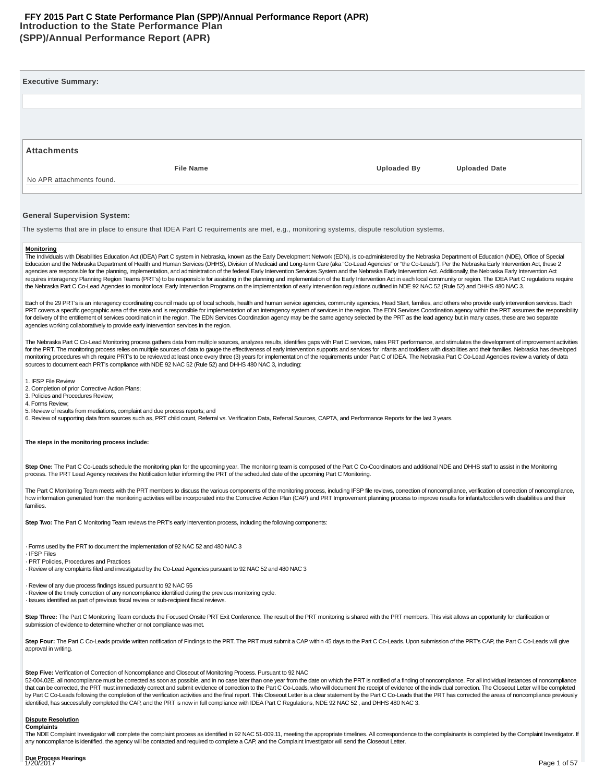#### **Introduction to the State Performance Plan (SPP)/Annual Performance Report (APR) FFY 2015 Part C State Performance Plan (SPP)/Annual Performance Report (APR)**

| <b>File Name</b> | <b>Uploaded By</b> | <b>Uploaded Date</b> |
|------------------|--------------------|----------------------|
|                  |                    |                      |
|                  |                    |                      |

#### **General Supervision System:**

The systems that are in place to ensure that IDEA Part C requirements are met, e.g., monitoring systems, dispute resolution systems.

#### **Monitoring**

The Individuals with Disabilities Education Act (IDEA) Part C system in Nebraska, known as the Early Development Network (EDN), is co-administered by the Nebraska Department of Education (NDE), Office of Special Education and the Nebraska Department of Health and Human Services (DHHS), Division of Medicaid and Long-term Care (aka "Co-Lead Agencies" or "the Co-Leads"). Per the Nebraska Early Intervention Act, these 2 agencies are responsible for the planning, implementation, and administration of the federal Early Intervention Services System and the Nebraska Early Intervention Act. Additionally, the Nebraska Early Intervention Act requires interagency Planning Region Teams (PRT's) to be responsible for assisting in the planning and implementation of the Early Intervention Act in each local community or region. The IDEA Part C regulations require the Nebraska Part C Co-Lead Agencies to monitor local Early Intervention Programs on the implementation of early intervention regulations outlined in NDE 92 NAC 52 (Rule 52) and DHHS 480 NAC 3.

Each of the 29 PRT's is an interagency coordinating council made up of local schools, health and human service agencies, community agencies, Head Start, families, and others who provide early intervention services. Each PRT covers a specific geographic area of the state and is responsible for implementation of an interagency system of services in the region. The EDN Services Coordination agency within the PRT assumes the responsibility for delivery of the entitlement of services coordination in the region. The EDN Services Coordination agency may be the same agency selected by the PRT as the lead agency, but in many cases, these are two separate agencies working collaboratively to provide early intervention services in the region.

The Nebraska Part C Co-Lead Monitoring process gathers data from multiple sources, analyzes results, identifies gaps with Part C services, rates PRT performance, and stimulates the development of improvement activities for the PRT. The monitoring process relies on multiple sources of data to gauge the effectiveness of early intervention supports and services for infants and toddlers with disabilities and their families. Nebraska has deve monitoring procedures which require PRT's to be reviewed at least once every three (3) years for implementation of the requirements under Part C of IDEA. The Nebraska Part C Co-Lead Agencies review a variety of data sources to document each PRT's compliance with NDE 92 NAC 52 (Rule 52) and DHHS 480 NAC 3, including:

1. IFSP File Review

2. Completion of prior Corrective Action Plans;

3. Policies and Procedures Review;

- 4. Forms Review;
- 5. Review of results from mediations, complaint and due process reports; and

6. Review of supporting data from sources such as, PRT child count, Referral vs. Verification Data, Referral Sources, CAPTA, and Performance Reports for the last 3 years.

#### **The steps in the monitoring process include:**

Step One: The Part C Co-Leads schedule the monitoring plan for the upcoming year. The monitoring team is composed of the Part C Co-Coordinators and additional NDE and DHHS staff to assist in the Monitoring process. The PRT Lead Agency receives the Notification letter informing the PRT of the scheduled date of the upcoming Part C Monitoring.

The Part C Monitoring Team meets with the PRT members to discuss the various components of the monitoring process, including IFSP file reviews, correction of noncompliance, verification of correction of noncompliance, how information generated from the monitoring activities will be incorporated into the Corrective Action Plan (CAP) and PRT Improvement planning process to improve results for infants/toddlers with disabilities and their families.

**Step Two:** The Part C Monitoring Team reviews the PRT's early intervention process, including the following components:

· Forms used by the PRT to document the implementation of 92 NAC 52 and 480 NAC 3

· IFSP Files

· PRT Policies, Procedures and Practices

· Review of any complaints filed and investigated by the Co-Lead Agencies pursuant to 92 NAC 52 and 480 NAC 3

· Review of any due process findings issued pursuant to 92 NAC 55

· Review of the timely correction of any noncompliance identified during the previous monitoring cycle.

· Issues identified as part of previous fiscal review or sub-recipient fiscal reviews.

Step Three: The Part C Monitoring Team conducts the Focused Onsite PRT Exit Conference. The result of the PRT monitoring is shared with the PRT members. This visit allows an opportunity for clarification or submission of evidence to determine whether or not compliance was met.

Step Four: The Part C Co-Leads provide written notification of Findings to the PRT. The PRT must submit a CAP within 45 days to the Part C Co-Leads. Upon submission of the PRT's CAP, the Part C Co-Leads will give approval in writing.

#### **Step Five:** Verification of Correction of Noncompliance and Closeout of Monitoring Process. Pursuant to 92 NAC

52-004.02E, all noncompliance must be corrected as soon as possible, and in no case later than one year from the date on which the PRT is notified of a finding of noncompliance. For all individual instances of noncompliance that can be corrected, the PRT must immediately correct and submit evidence of correction to the Part C Co-Leads, who will document the receipt of evidence of the individual correction. The Closeout Letter will be completed by Part C Co-Leads following the completion of the verification activities and the final report. This Closeout Letter is a clear statement by the Part C Co-Leads that the PRT has corrected the areas of noncompliance previo identified, has successfully completed the CAP, and the PRT is now in full compliance with IDEA Part C Regulations, NDE 92 NAC 52 , and DHHS 480 NAC 3.

#### **Dispute Resolution Complaints**

The NDE Complaint Investigator will complete the complaint process as identified in 92 NAC 51-009.11, meeting the appropriate timelines. All correspondence to the complainants is completed by the Complaint Investigator. If any noncompliance is identified, the agency will be contacted and required to complete a CAP, and the Complaint Investigator will send the Closeout Letter.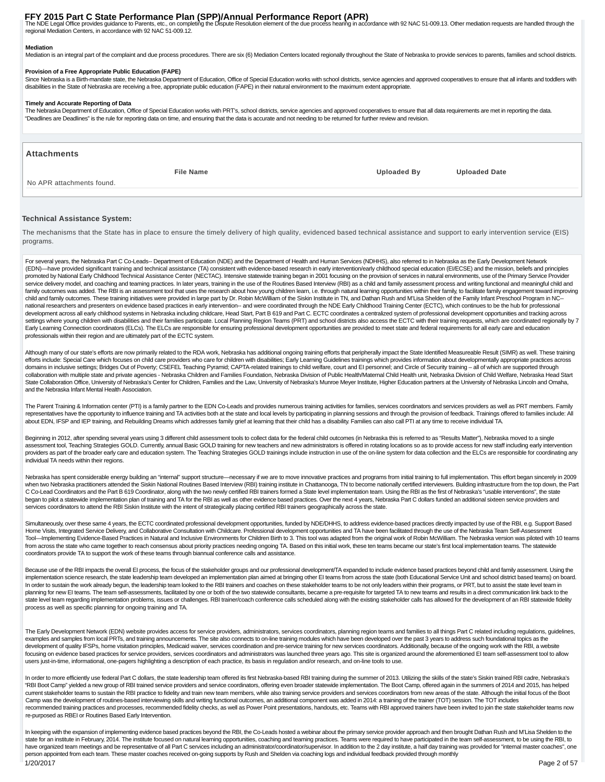FFY 2015 Part C State Performance Plan (SPP)/Annual Performance Report (APR)<br>The NDE Legal Office provides guidance to Parents, etc., on completing the Dispute Resolution element of the due process hearing in accordance wi regional Mediation Centers, in accordance with 92 NAC 51-009.12.

#### **Mediation**

Mediation is an integral part of the complaint and due process procedures. There are six (6) Mediation Centers located regionally throughout the State of Nebraska to provide services to parents, families and school distric

#### **Provision of a Free Appropriate Public Education (FAPE)**

Since Nebraska is a Birth-mandate state, the Nebraska Department of Education, Office of Special Education works with school districts, service agencies and approved cooperatives to ensure that all infants and toddlers wit disabilities in the State of Nebraska are receiving a free, appropriate public education (FAPE) in their natural environment to the maximum extent appropriate.

#### **Timely and Accurate Reporting of Data**

The Nebraska Department of Education, Office of Special Education works with PRT's, school districts, service agencies and approved cooperatives to ensure that all data requirements are met in reporting the data. "Deadlines are Deadlines" is the rule for reporting data on time, and ensuring that the data is accurate and not needing to be returned for further review and revision.

#### **Attachments**

No APR attachments found.

**File Name Uploaded By Uploaded Date**

#### **Technical Assistance System:**

The mechanisms that the State has in place to ensure the timely delivery of high quality, evidenced based technical assistance and support to early intervention service (EIS) programs.

For several years, the Nebraska Part C Co-Leads-- Department of Education (NDE) and the Department of Health and Human Services (NDHHS), also referred to in Nebraska as the Early Development Network (EDN)—have provided significant training and technical assistance (TA) consistent with evidence-based research in early intervention/early childhood special education (EI/ECSE) and the mission, beliefs and principles promoted by National Early Childhood Technical Assistance Center (NECTAC). Intensive statewide training began in 2001 focusing on the provision of services in natural environments, use of the Primary Service Provider service delivery model, and coaching and teaming practices. In later years, training in the use of the Routines Based Interview (RBI) as a child and family assessment process and writing functional and meaningful child and family outcomes was added. The RBI is an assessment tool that uses the research about how young children leam, i.e. through natural learning opportunities within their family, to facilitate family engagement toward improvi child and family outcomes. These training initiatives were provided in large part by Dr. Robin McWilliam of the Siskin Institute in TN, and Dathan Rush and M'Lisa Shelden of the Family Infant Preschool Program in NC-national researchers and presenters on evidence based practices in early intervention-- and were coordinated through the NDE Early Childhood Training Center (ECTC), which continues to be the hub for professional development across all early childhood systems in Nebraska including childcare, Head Start, Part B 619 and Part C. ECTC coordinates a centralized system of professional development opportunities and tracking across settings where young children with disabilities and their families participate. Local Planning Region Teams (PRT) and school districts also access the ECTC with their training requests, which are coordinated regionally by Early Learning Connection coordinators (ELCs). The ELCs are responsible for ensuring professional development opportunities are provided to meet state and federal requirements for all early care and education professionals within their region and are ultimately part of the ECTC system.

Although many of our state's efforts are now primarily related to the RDA work, Nebraska has additional ongoing training efforts that peripherally impact the State Identified Measureable Result (SIMR) as well. These traini efforts include: Special Care which focuses on child care providers who care for children with disabilities; Early Learning Guidelines trainings which provides information about developmentally appropriate practices across domains in inclusive settings; Bridges Out of Poverty; CSEFEL Teaching Pyramid; CAPTA-related trainings to child welfare, court and EI personnel; and Circle of Security training – all of which are supported through collaboration with multiple state and private agencies - Nebraska Children and Families Foundation, Nebraska Division of Public Health/Maternal Child Health unit, Nebraska Division of Child Welfare, Nebraska Head Start State Collaboration Office, University of Nebraska's Center for Children, Families and the Law, University of Nebraska's Munroe Meyer Institute, Higher Education partners at the University of Nebraska Lincoln and Omaha, and the Nebraska Infant Mental Health Association.

The Parent Training & Information center (PTI) is a family partner to the EDN Co-Leads and provides numerous training activities for families, services coordinators and services providers as well as PRT members. Family representatives have the opportunity to influence training and TA activities both at the state and local levels by participating in planning sessions and through the provision of feedback. Trainings offered to families inc about EDN, IFSP and IEP training, and Rebuilding Dreams which addresses family grief at learning that their child has a disability. Families can also call PTI at any time to receive individual TA.

Beginning in 2012, after spending several years using 3 different child assessment tools to collect data for the federal child outcomes (in Nebraska this is referred to as "Results Matter"), Nebraska moved to a single assessment tool, Teaching Strategies GOLD. Currently, annual Basic GOLD training for new teachers and new administrators is offered in rotating locations so as to provide access for new staff including early intervention providers as part of the broader early care and education system. The Teaching Strategies GOLD trainings include instruction in use of the on-line system for data collection and the ELCs are responsible for coordinating an individual TA needs within their regions.

Nebraska has spent considerable energy building an "internal" support structure—necessary if we are to move innovative practices and programs from initial training to full implementation. This effort began sincerely in 200 when two Nebraska practitioners attended the Siskin National Routines Based Interview (RBI) training institute in Chattanooga, TN to become nationally certified interviewers. Building infrastructure from the top down, the C Co-Lead Coordinators and the Part B 619 Coordinator, along with the two newly certified RBI trainers formed a State level implementation team. Using the RBI as the first of Nebraska's "usable interventions", the state began to pilot a statewide implementation plan of training and TA for the RBI as well as other evidence based practices. Over the next 4 years, Nebraska Part C dollars funded an additional sixteen service providers and services coordinators to attend the RBI Siskin Institute with the intent of strategically placing certified RBI trainers geographically across the state.

Simultaneously, over these same 4 years, the ECTC coordinated professional development opportunities, funded by WDE/DHHS, to address evidence-based practices directly impacted by use of the RBI, e.g. Support Based Home Visits, Integrated Service Delivery, and Collaborative Consultation with Childcare. Professional development opportunities and TA have been facilitated through the use of the Nebraska Team Self-Assessment Tool-Implementing Evidence-Based Practices in Natural and Inclusive Environments for Children Birth to 3. This tool was adapted from the original work of Robin McWilliam. The Nebraska version was piloted with 10 teams from across the state who came together to reach consensus about priority practices needing ongoing TA. Based on this initial work, these ten teams became our state's first local implementation teams. The statewide coordinators provide TA to support the work of these teams through biannual conference calls and assistance.

Because use of the RBI impacts the overall EI process, the focus of the stakeholder groups and our professional development/TA expanded to include evidence based practices beyond child and family assessment. Using the implementation science research, the state leadership team developed an implementation plan aimed at bringing other EI teams from across the state (both Educational Service Unit and school district based teams) on board. In order to sustain the work already begun, the leadership team looked to the RBI trainers and coaches on these stakeholder teams to be not only leaders within their programs, or PRT, but to assist the state level team in planning for new EI teams. The team self-assessments, facilitated by one or both of the two statewide consultants, became a pre-requisite for targeted TA to new teams and results in a direct communication link back to the state level team regarding implementation problems, issues or challenges. RBI trainer/coach conference calls scheduled along with the existing stakeholder calls has allowed for the development of an RBI statewide fidelity process as well as specific planning for ongoing training and TA.

The Early Development Network (EDN) website provides access for service providers, administrators, services coordinators, planning region teams and families to all things Part C related including regulations, guidelines, examples and samples from local PRTs, and training announcements. The site also connects to on-line training modules which have been developed over the past 3 years to address such foundational topics as the development of quality IFSPs, home visitation principles, Medicaid waiver, services coordination and pre-service training for new services coordinators. Additionally, because of the ongoing work with the RBI, a website focusing on evidence based practices for service providers, services coordinators and administrators was launched three years ago. This site is organized around the aforementioned EI team self-assessment tool to allow users just-in-time, informational, one-pagers highlighting a description of each practice, its basis in regulation and/or research, and on-line tools to use.

In order to more efficiently use federal Part C dollars, the state leadership team offered its first Nebraska-based RBI training during the summer of 2013. Utilizing the skills of the state's Siskin trained RBI cadre, Nebr "RBI Boot Camp" yielded a new group of RBI trained service providers and service coordinators, offering even broader statewide implementation. The Boot Camp, offered again in the summers of 2014 and 2015, has helped current stakeholder teams to sustain the RBI practice to fidelity and train new team members, while also training service providers and services coordinators from new areas of the state. Although the initial focus of the B Camp was the development of routines-based interviewing skills and writing functional outcomes, an additional component was added in 2014: a training of the trainer (TOT) session. The TOT includes recommended training practices and processes, recommended fidelity checks, as well as Power Point presentations, handouts, etc. Teams with RBI approved trainers have been invited to join the state stakeholder teams now re-purposed as RBEI or Routines Based Early Intervention.

In keeping with the expansion of implementing evidence based practices beyond the RBI, the Co-Leads hosted a webinar about the primary service provider approach and then brought Dathan Rush and M'Lisa Shelden to the state for an institute in February, 2014. The institute focused on natural learning opportunities, coaching and teaming practices. Teams were required to have participated in the team self-assessment, to be using the RBI, have organized team meetings and be representative of all Part C services including an administrator/coordinator/supervisor. In addition to the 2 day institute, a half day training was provided for "internal master coaches person appointed from each team. These master coaches received on-going supports by Rush and Shelden via coaching logs and individual feedback provided through monthly 1/20/2017 Page 2 of 57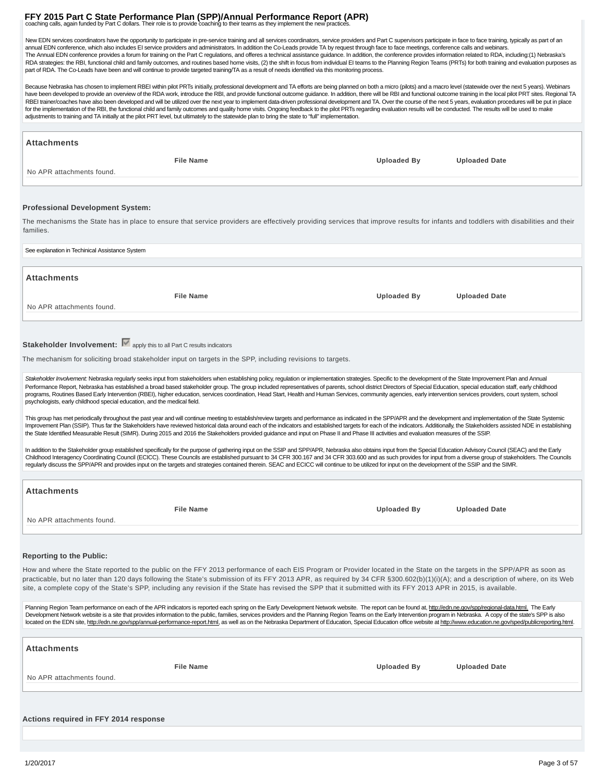## **FFY 2015 Part C State Performance Plan (SPP)/Annual Performance Report (APR)**<br>coaching calls, again funded by Part C dollars. Their role is to provide coaching to their teams as they implement the new practices.

New EDN services coordinators have the opportunity to participate in pre-service training and all services coordinators, service providers and Part C supervisors participate in face to face training, typically as part of a annual EDN conference, which also includes El service providers and administrators. In addition the Co-Leads provide TA by request through face to face meetings, conference calls and webinars.<br>The Annual EDN conference pro RDA strategies: the RBI, functional child and family outcomes, and routines based home visits, (2) the shift in focus from individual EI teams to the Planning Region Teams (PRTs) for both training and evaluation purposes a part of RDA. The Co-Leads have been and will continue to provide targeted training/TA as a result of needs identified via this monitoring process.

Because Nebraska has chosen to implement RBEI within pilot PRTs initially, professional development and TA efforts are being planned on both a micro (pilots) and a macro level (statewide over the next 5 years). Webinars have been developed to provide an overview of the RDA work, introduce the RBI, and provide functional outcome guidance. In addition, there will be RBI and functional outcome training in the local pilot PRT sites. Regional RBEI trainer/coaches have also been developed and will be utilized over the next year to implement data-driven professional development and TA. Over the course of the next 5 years, evaluation procedures will be put in plac for the implementation of the RBI, the functional child and family outcomes and quality home visits. Ongoing feedback to the pilot PRTs regarding evaluation results will be conducted. The results will be used to make adjustments to training and TA initially at the pilot PRT level, but ultimately to the statewide plan to bring the state to "full" implementation.

| Attachments                                                                                                                                                                                                                                                                                                                                                                                                                                                 |                                            |  |
|-------------------------------------------------------------------------------------------------------------------------------------------------------------------------------------------------------------------------------------------------------------------------------------------------------------------------------------------------------------------------------------------------------------------------------------------------------------|--------------------------------------------|--|
| <b>File Name</b>                                                                                                                                                                                                                                                                                                                                                                                                                                            | <b>Uploaded By</b><br><b>Uploaded Date</b> |  |
| No APR attachments found.                                                                                                                                                                                                                                                                                                                                                                                                                                   |                                            |  |
|                                                                                                                                                                                                                                                                                                                                                                                                                                                             |                                            |  |
|                                                                                                                                                                                                                                                                                                                                                                                                                                                             |                                            |  |
| <b>Professional Development System:</b>                                                                                                                                                                                                                                                                                                                                                                                                                     |                                            |  |
| The mechanisms the State has in place to ensure that service providers are effectively providing services that improve results for infants and toddlers with disabilities and their<br>families.                                                                                                                                                                                                                                                            |                                            |  |
| See explanation in Techinical Assistance System                                                                                                                                                                                                                                                                                                                                                                                                             |                                            |  |
|                                                                                                                                                                                                                                                                                                                                                                                                                                                             |                                            |  |
| Attachments                                                                                                                                                                                                                                                                                                                                                                                                                                                 |                                            |  |
| <b>File Name</b>                                                                                                                                                                                                                                                                                                                                                                                                                                            | <b>Uploaded By</b><br><b>Uploaded Date</b> |  |
| No APR attachments found.                                                                                                                                                                                                                                                                                                                                                                                                                                   |                                            |  |
|                                                                                                                                                                                                                                                                                                                                                                                                                                                             |                                            |  |
|                                                                                                                                                                                                                                                                                                                                                                                                                                                             |                                            |  |
| Stakeholder Involvement: V apply this to all Part C results indicators                                                                                                                                                                                                                                                                                                                                                                                      |                                            |  |
| The mechanism for soliciting broad stakeholder input on targets in the SPP, including revisions to targets.                                                                                                                                                                                                                                                                                                                                                 |                                            |  |
| Stakeholder Involvement: Nebraska regularly seeks input from stakeholders when establishing policy, regulation or implementation strategies. Specific to the development of the State Improvement Plan and Annual                                                                                                                                                                                                                                           |                                            |  |
| Performance Report, Nebraska has established a broad based stakeholder group. The group included representatives of parents, school district Directors of Special Education, special education staff, early childhood<br>programs, Routines Based Early Intervention (RBEI), higher education, services coordination, Head Start, Health and Human Services, community agencies, early intervention services providers, court system, school                |                                            |  |
| psychologists, early childhood special education, and the medical field.                                                                                                                                                                                                                                                                                                                                                                                    |                                            |  |
| This group has met periodically throughout the past year and will continue meeting to establish/review targets and performance as indicated in the SPP/APR and the development and implementation of the State Systemic                                                                                                                                                                                                                                     |                                            |  |
| Improvement Plan (SSIP). Thus far the Stakeholders have reviewed historical data around each of the indicators and established targets for each of the indicators. Additionally, the Stakeholders assisted NDE in establishing<br>the State Identified Measurable Result (SIMR). During 2015 and 2016 the Stakeholders provided guidance and input on Phase II and Phase III activities and evaluation measures of the SSIP.                                |                                            |  |
|                                                                                                                                                                                                                                                                                                                                                                                                                                                             |                                            |  |
| In addition to the Stakeholder group established specifically for the purpose of gathering input on the SSIP and SPP/APR, Nebraska also obtains input from the Special Education Advisory Council (SEAC) and the Early<br>Childhood Interagency Coordinating Council (ECICC). These Councils are established pursuant to 34 CFR 300.167 and 34 CFR 303.600 and as such provides for input from a diverse group of stakeholders. The Councils                |                                            |  |
| regularly discuss the SPP/APR and provides input on the targets and strategies contained therein. SEAC and ECICC will continue to be utilized for input on the development of the SSIP and the SIMR.                                                                                                                                                                                                                                                        |                                            |  |
| Attachments                                                                                                                                                                                                                                                                                                                                                                                                                                                 |                                            |  |
|                                                                                                                                                                                                                                                                                                                                                                                                                                                             |                                            |  |
| <b>File Name</b>                                                                                                                                                                                                                                                                                                                                                                                                                                            | <b>Uploaded By</b><br><b>Uploaded Date</b> |  |
| No APR attachments found.                                                                                                                                                                                                                                                                                                                                                                                                                                   |                                            |  |
|                                                                                                                                                                                                                                                                                                                                                                                                                                                             |                                            |  |
| <b>Reporting to the Public:</b>                                                                                                                                                                                                                                                                                                                                                                                                                             |                                            |  |
| How and where the State reported to the public on the FFY 2013 performance of each EIS Program or Provider located in the State on the targets in the SPP/APR as soon as                                                                                                                                                                                                                                                                                    |                                            |  |
| practicable, but no later than 120 days following the State's submission of its FFY 2013 APR, as required by 34 CFR §300.602(b)(1)(i)(A); and a description of where, on its Web                                                                                                                                                                                                                                                                            |                                            |  |
| site, a complete copy of the State's SPP, including any revision if the State has revised the SPP that it submitted with its FFY 2013 APR in 2015, is available.                                                                                                                                                                                                                                                                                            |                                            |  |
| Planning Region Team performance on each of the APR indicators is reported each spring on the Early Development Network website. The report can be found at, http://edn.ne.gov/spp/regional-data.html. The Early                                                                                                                                                                                                                                            |                                            |  |
| Development Network website is a site that provides information to the public, families, services providers and the Planning Region Teams on the Early Intervention program in Nebraska. A copy of the state's SPP is also<br>located on the EDN site, http://edn.ne.gov/spp/annual-performance-report.html, as well as on the Nebraska Department of Education, Special Education office website at http://www.education.ne.gov/sped/publicreporting.html. |                                            |  |
|                                                                                                                                                                                                                                                                                                                                                                                                                                                             |                                            |  |
| Attachments                                                                                                                                                                                                                                                                                                                                                                                                                                                 |                                            |  |
|                                                                                                                                                                                                                                                                                                                                                                                                                                                             |                                            |  |
| <b>File Name</b>                                                                                                                                                                                                                                                                                                                                                                                                                                            | <b>Uploaded By</b><br><b>Uploaded Date</b> |  |
| No APR attachments found.                                                                                                                                                                                                                                                                                                                                                                                                                                   |                                            |  |
|                                                                                                                                                                                                                                                                                                                                                                                                                                                             |                                            |  |
|                                                                                                                                                                                                                                                                                                                                                                                                                                                             |                                            |  |
| Actions required in FFY 2014 response                                                                                                                                                                                                                                                                                                                                                                                                                       |                                            |  |
|                                                                                                                                                                                                                                                                                                                                                                                                                                                             |                                            |  |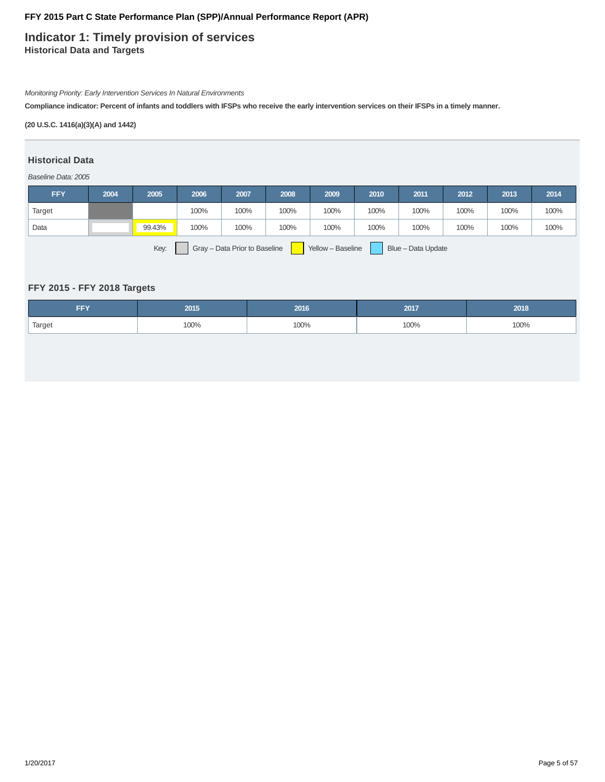### **Indicator 1: Timely provision of services Historical Data and Targets**

Monitoring Priority: Early Intervention Services In Natural Environments

**Compliance indicator: Percent of infants and toddlers with IFSPs who receive the early intervention services on their IFSPs in a timely manner.**

### **(20 U.S.C. 1416(a)(3)(A) and 1442)**

#### **Historical Data**

#### Baseline Data: 2005

| <b>FFY</b>                                                                       | 2004 | 2005   | 2006 | 2007 | 2008 | 2009 | 2010 | 2011 | 2012 | 2013 | 2014 |
|----------------------------------------------------------------------------------|------|--------|------|------|------|------|------|------|------|------|------|
| Target                                                                           |      |        | 100% | 100% | 100% | 100% | 100% | 100% | 100% | 100% | 100% |
| Data                                                                             |      | 99.43% | 100% | 100% | 100% | 100% | 100% | 100% | 100% | 100% | 100% |
| Key:<br>Blue - Data Update<br>Gray - Data Prior to Baseline<br>Yellow - Baseline |      |        |      |      |      |      |      |      |      |      |      |

### **FFY 2015 - FFY 2018 Targets**

| -- 1<br>--- | 2015 | 2016 | 2017 | 2018 |
|-------------|------|------|------|------|
| Target      | 100% | 100% | 100% | 100% |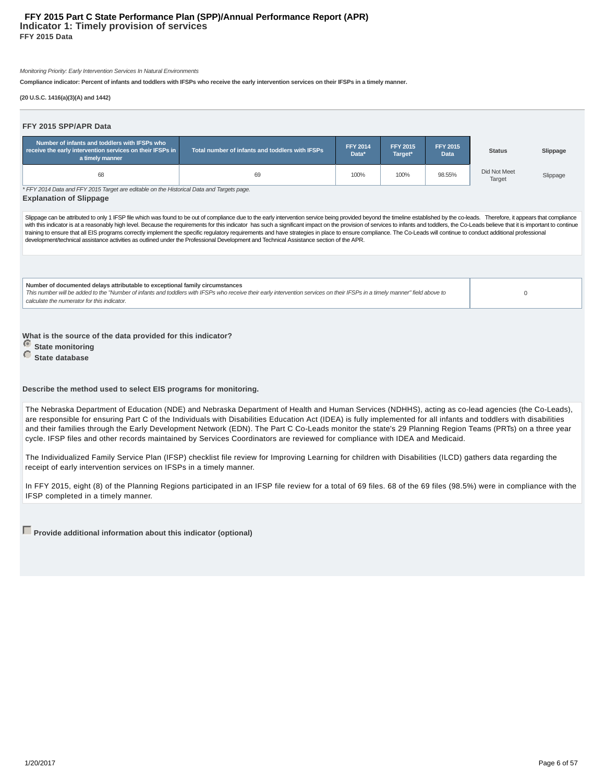Monitoring Priority: Early Intervention Services In Natural Environments

**Compliance indicator: Percent of infants and toddlers with IFSPs who receive the early intervention services on their IFSPs in a timely manner.**

**(20 U.S.C. 1416(a)(3)(A) and 1442)**

| FFY 2015 SPP/APR Data                                                                                                         |                                                                                                                                                                                                                                                                                                                                                                                                                                                                                                                                                                                                                    |                          |                            |                                |                        |          |
|-------------------------------------------------------------------------------------------------------------------------------|--------------------------------------------------------------------------------------------------------------------------------------------------------------------------------------------------------------------------------------------------------------------------------------------------------------------------------------------------------------------------------------------------------------------------------------------------------------------------------------------------------------------------------------------------------------------------------------------------------------------|--------------------------|----------------------------|--------------------------------|------------------------|----------|
| Number of infants and toddlers with IFSPs who<br>receive the early intervention services on their IFSPs in<br>a timely manner | Total number of infants and toddlers with IFSPs                                                                                                                                                                                                                                                                                                                                                                                                                                                                                                                                                                    | <b>FFY 2014</b><br>Data* | <b>FFY 2015</b><br>Target* | <b>FFY 2015</b><br><b>Data</b> | <b>Status</b>          | Slippage |
| 68                                                                                                                            | 69                                                                                                                                                                                                                                                                                                                                                                                                                                                                                                                                                                                                                 | 100%                     | 100%                       | 98.55%                         | Did Not Meet<br>Target | Slippage |
| * FFY 2014 Data and FFY 2015 Target are editable on the Historical Data and Targets page.<br><b>Explanation of Slippage</b>   |                                                                                                                                                                                                                                                                                                                                                                                                                                                                                                                                                                                                                    |                          |                            |                                |                        |          |
|                                                                                                                               | with this indicator is at a reasonably high level. Because the requirements for this indicator has such a significant impact on the provision of services to infants and toddlers, the Co-Leads believe that it is important t<br>training to ensure that all EIS programs correctly implement the specific regulatory requirements and have strategies in place to ensure compliance. The Co-Leads will continue to conduct additional professional<br>development/technical assistance activities as outlined under the Professional Development and Technical Assistance section of the APR.                    |                          |                            |                                |                        |          |
| Number of documented delays attributable to exceptional family circumstances<br>calculate the numerator for this indicator.   | This number will be added to the "Number of infants and toddlers with IFSPs who receive their early intervention services on their IFSPs in a timely manner" field above to                                                                                                                                                                                                                                                                                                                                                                                                                                        |                          |                            |                                | 0                      |          |
| What is the source of the data provided for this indicator?<br><b>State monitoring</b><br>State database                      |                                                                                                                                                                                                                                                                                                                                                                                                                                                                                                                                                                                                                    |                          |                            |                                |                        |          |
| Describe the method used to select EIS programs for monitoring.                                                               |                                                                                                                                                                                                                                                                                                                                                                                                                                                                                                                                                                                                                    |                          |                            |                                |                        |          |
|                                                                                                                               | The Nebraska Department of Education (NDE) and Nebraska Department of Health and Human Services (NDHHS), acting as co-lead agencies (the Co-Leads),<br>are responsible for ensuring Part C of the Individuals with Disabilities Education Act (IDEA) is fully implemented for all infants and toddlers with disabilities<br>and their families through the Early Development Network (EDN). The Part C Co-Leads monitor the state's 29 Planning Region Teams (PRTs) on a three year<br>cycle. IFSP files and other records maintained by Services Coordinators are reviewed for compliance with IDEA and Medicaid. |                          |                            |                                |                        |          |
| receipt of early intervention services on IFSPs in a timely manner.                                                           | The Individualized Family Service Plan (IFSP) checklist file review for Improving Learning for children with Disabilities (ILCD) gathers data regarding the                                                                                                                                                                                                                                                                                                                                                                                                                                                        |                          |                            |                                |                        |          |

In FFY 2015, eight (8) of the Planning Regions participated in an IFSP file review for a total of 69 files. 68 of the 69 files (98.5%) were in compliance with the IFSP completed in a timely manner.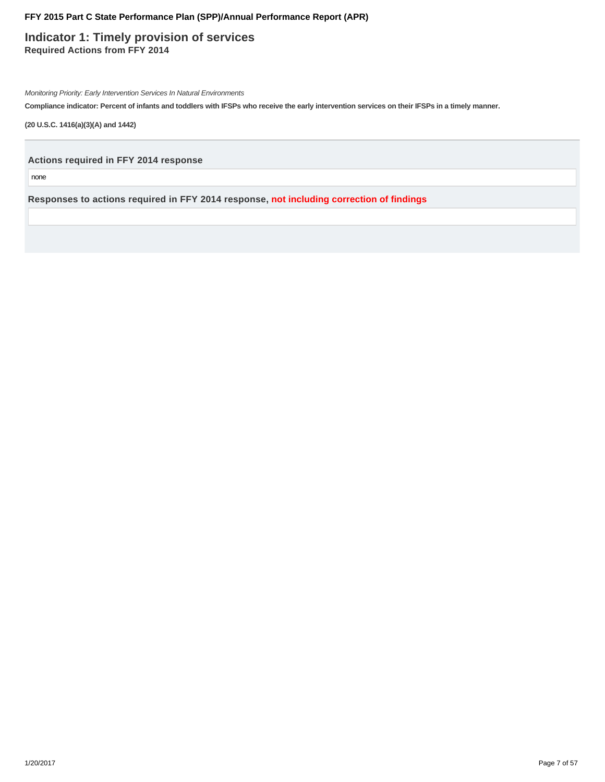**Indicator 1: Timely provision of services Required Actions from FFY 2014**

Monitoring Priority: Early Intervention Services In Natural Environments

**Compliance indicator: Percent of infants and toddlers with IFSPs who receive the early intervention services on their IFSPs in a timely manner.**

**(20 U.S.C. 1416(a)(3)(A) and 1442)**

**Actions required in FFY 2014 response**

none

**Responses to actions required in FFY 2014 response, not including correction of findings**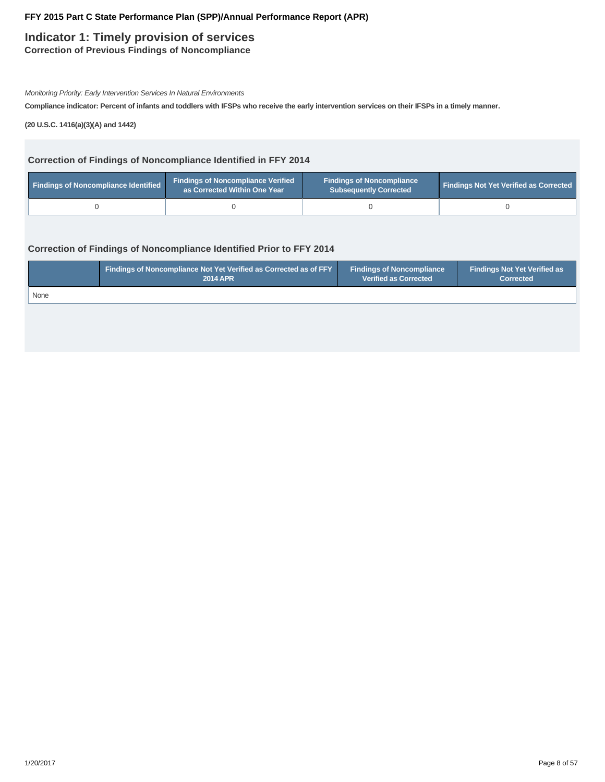### **Indicator 1: Timely provision of services**

**Correction of Previous Findings of Noncompliance**

Monitoring Priority: Early Intervention Services In Natural Environments

**Compliance indicator: Percent of infants and toddlers with IFSPs who receive the early intervention services on their IFSPs in a timely manner.**

**(20 U.S.C. 1416(a)(3)(A) and 1442)**

### **Correction of Findings of Noncompliance Identified in FFY 2014**

| Findings of Noncompliance Identified | <b>Findings of Noncompliance Verified</b><br>as Corrected Within One Year | <b>Findings of Noncompliance</b><br><b>Subsequently Corrected</b> | <b>Findings Not Yet Verified as Corrected</b> |  |
|--------------------------------------|---------------------------------------------------------------------------|-------------------------------------------------------------------|-----------------------------------------------|--|
|                                      |                                                                           |                                                                   |                                               |  |

### **Correction of Findings of Noncompliance Identified Prior to FFY 2014**

|      | <b>Findings of Noncompliance Not Yet Verified as Corrected as of FFY</b> | <b>Findings of Noncompliance</b> | <b>Findings Not Yet Verified as</b> |
|------|--------------------------------------------------------------------------|----------------------------------|-------------------------------------|
|      | <b>2014 APR</b>                                                          | <b>Verified as Corrected</b>     | <b>Corrected</b>                    |
| None |                                                                          |                                  |                                     |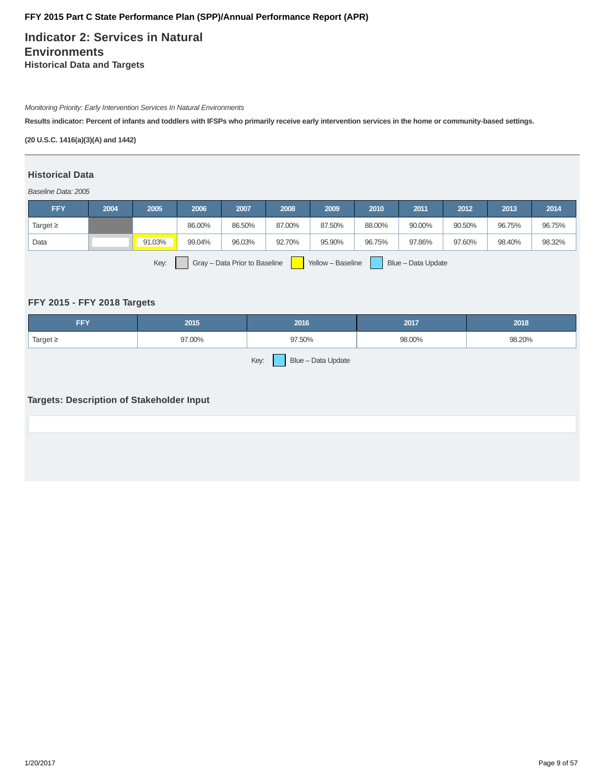**Indicator 2: Services in Natural Environments Historical Data and Targets**

Monitoring Priority: Early Intervention Services In Natural Environments

**Results indicator: Percent of infants and toddlers with IFSPs who primarily receive early intervention services in the home or community-based settings.**

**(20 U.S.C. 1416(a)(3)(A) and 1442)**

### **Historical Data**

Baseline Data: 2005

| <b>FFY</b>                                                                       | 2004 | 2005   | 2006   | 2007   | 2008   | 2009   | 2010   | 2011   | 2012   | 2013   | 2014   |
|----------------------------------------------------------------------------------|------|--------|--------|--------|--------|--------|--------|--------|--------|--------|--------|
| Target $\geq$                                                                    |      |        | 86.00% | 86.50% | 87.00% | 87.50% | 88.00% | 90.00% | 90.50% | 96.75% | 96.75% |
| Data                                                                             |      | 91.03% | 99.04% | 96.03% | 92.70% | 95.90% | 96.75% | 97.86% | 97.60% | 98.40% | 98.32% |
| Key:<br>Gray - Data Prior to Baseline<br>Yellow - Baseline<br>Blue - Data Update |      |        |        |        |        |        |        |        |        |        |        |

### **FFY 2015 - FFY 2018 Targets**

| FFY           | 2015   | 2016                       | 2017   | 2018   |
|---------------|--------|----------------------------|--------|--------|
| Target $\geq$ | 97.00% | 97.50%                     | 98.00% | 98.20% |
|               |        | Key:<br>Blue - Data Update |        |        |

### **Targets: Description of Stakeholder Input**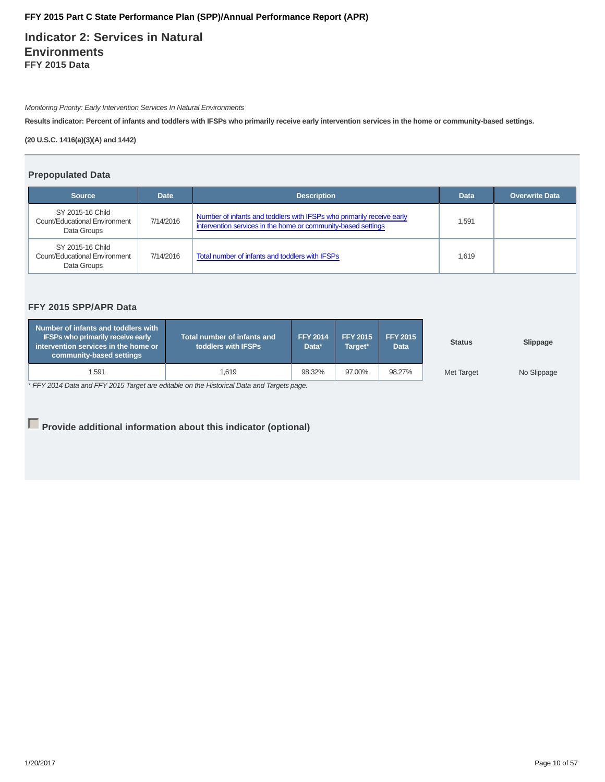**Indicator 2: Services in Natural Environments FFY 2015 Data**

Monitoring Priority: Early Intervention Services In Natural Environments

**Results indicator: Percent of infants and toddlers with IFSPs who primarily receive early intervention services in the home or community-based settings.**

**(20 U.S.C. 1416(a)(3)(A) and 1442)**

#### **Prepopulated Data**

| <b>Source</b>                                                    | <b>Description</b><br><b>Date</b> |                                                                                                                                        |       |  |  |  |
|------------------------------------------------------------------|-----------------------------------|----------------------------------------------------------------------------------------------------------------------------------------|-------|--|--|--|
| SY 2015-16 Child<br>Count/Educational Environment<br>Data Groups | 7/14/2016                         | Number of infants and toddlers with IFSPs who primarily receive early<br>intervention services in the home or community-based settings | 1,591 |  |  |  |
| SY 2015-16 Child<br>Count/Educational Environment<br>Data Groups | 7/14/2016                         | Total number of infants and toddlers with IFSPs                                                                                        | 1.619 |  |  |  |

### **FFY 2015 SPP/APR Data**

| Number of infants and toddlers with<br><b>IFSPs who primarily receive early</b><br>$\blacksquare$ intervention services in the home or $\blacksquare$<br>community-based settings | <b>Total number of infants and</b><br><b>toddlers with IFSPs</b> ا | <b>FFY 2014</b><br>Data* | <b>FFY 2015</b><br>Target* | <b>FFY 2015</b><br><b>Data</b> | <b>Status</b>     | Slippage    |
|-----------------------------------------------------------------------------------------------------------------------------------------------------------------------------------|--------------------------------------------------------------------|--------------------------|----------------------------|--------------------------------|-------------------|-------------|
| 1.591                                                                                                                                                                             | 1.619                                                              | 98.32%                   | 97.00%                     | 98.27%                         | <b>Met Target</b> | No Slippage |

\* FFY 2014 Data and FFY 2015 Target are editable on the Historical Data and Targets page.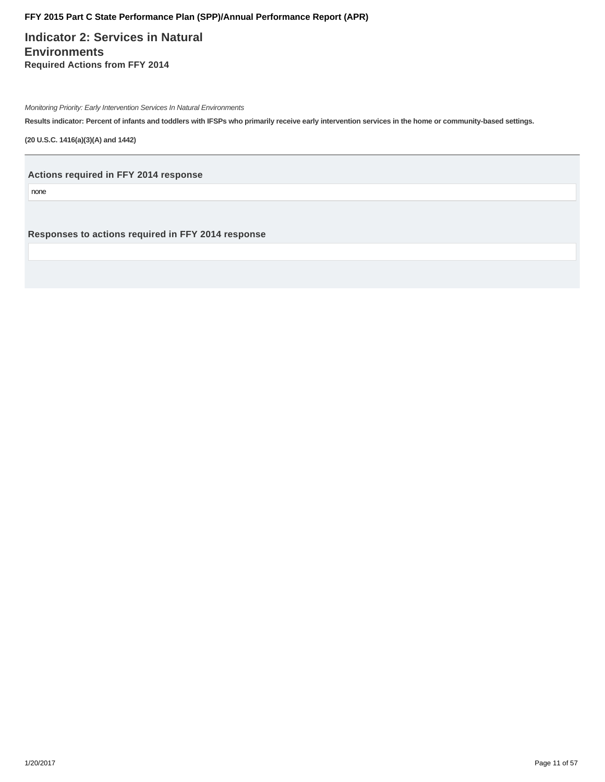**Indicator 2: Services in Natural Environments Required Actions from FFY 2014**

Monitoring Priority: Early Intervention Services In Natural Environments

**Results indicator: Percent of infants and toddlers with IFSPs who primarily receive early intervention services in the home or community-based settings.**

**(20 U.S.C. 1416(a)(3)(A) and 1442)**

**Actions required in FFY 2014 response**

none

**Responses to actions required in FFY 2014 response**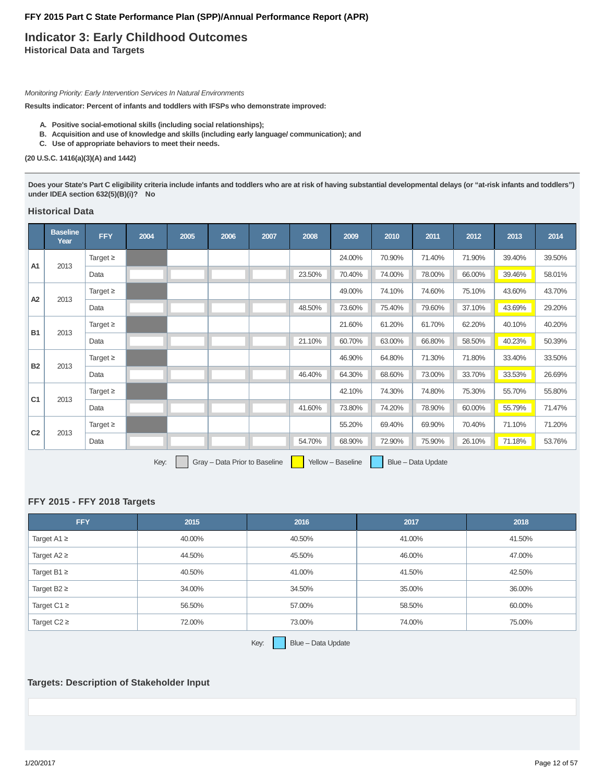### **Indicator 3: Early Childhood Outcomes Historical Data and Targets**

Monitoring Priority: Early Intervention Services In Natural Environments

**Results indicator: Percent of infants and toddlers with IFSPs who demonstrate improved:**

- **A. Positive social-emotional skills (including social relationships);**
- **B. Acquisition and use of knowledge and skills (including early language/ communication); and**
- **C. Use of appropriate behaviors to meet their needs.**

#### **(20 U.S.C. 1416(a)(3)(A) and 1442)**

**Does your State's Part C eligibility criteria include infants and toddlers who are at risk of having substantial developmental delays (or "at-risk infants and toddlers") under IDEA section 632(5)(B)(i)? No**

### **Historical Data**

|                | <b>Baseline</b><br>Year | <b>FFY</b>    | 2004 | 2005 | 2006                          | 2007 | 2008   | 2009              | 2010   | 2011               | 2012   | 2013   | 2014   |
|----------------|-------------------------|---------------|------|------|-------------------------------|------|--------|-------------------|--------|--------------------|--------|--------|--------|
| A <sub>1</sub> | 2013                    | Target $\geq$ |      |      |                               |      |        | 24.00%            | 70.90% | 71.40%             | 71.90% | 39.40% | 39.50% |
|                |                         | Data          |      |      |                               |      | 23.50% | 70.40%            | 74.00% | 78.00%             | 66.00% | 39.46% | 58.01% |
| A2             | 2013                    | Target $\geq$ |      |      |                               |      |        | 49.00%            | 74.10% | 74.60%             | 75.10% | 43.60% | 43.70% |
|                |                         | Data          |      |      |                               |      | 48.50% | 73.60%            | 75.40% | 79.60%             | 37.10% | 43.69% | 29.20% |
| <b>B1</b>      |                         | Target $\geq$ |      |      |                               |      |        | 21.60%            | 61.20% | 61.70%             | 62.20% | 40.10% | 40.20% |
|                | 2013                    | Data          |      |      |                               |      | 21.10% | 60.70%            | 63.00% | 66.80%             | 58.50% | 40.23% | 50.39% |
|                |                         | Target $\geq$ |      |      |                               |      |        | 46.90%            | 64.80% | 71.30%             | 71.80% | 33.40% | 33.50% |
| <b>B2</b>      | 2013                    | Data          |      |      |                               |      | 46.40% | 64.30%            | 68.60% | 73.00%             | 33.70% | 33.53% | 26.69% |
|                |                         | Target $\geq$ |      |      |                               |      |        | 42.10%            | 74.30% | 74.80%             | 75.30% | 55.70% | 55.80% |
| C <sub>1</sub> | 2013                    | Data          |      |      |                               |      | 41.60% | 73.80%            | 74.20% | 78.90%             | 60.00% | 55.79% | 71.47% |
|                |                         | Target $\geq$ |      |      |                               |      |        | 55.20%            | 69.40% | 69.90%             | 70.40% | 71.10% | 71.20% |
| C <sub>2</sub> | 2013                    | Data          |      |      |                               |      | 54.70% | 68.90%            | 72.90% | 75.90%             | 26.10% | 71.18% | 53.76% |
|                |                         |               | Key: |      | Gray - Data Prior to Baseline |      |        | Yellow - Baseline |        | Blue - Data Update |        |        |        |

#### **FFY 2015 - FFY 2018 Targets**

| <b>FFY</b>       | 2015   | 2016   | 2017   | 2018   |
|------------------|--------|--------|--------|--------|
| Target A1 $\geq$ | 40.00% | 40.50% | 41.00% | 41.50% |
| Target $A2 \geq$ | 44.50% | 45.50% | 46.00% | 47.00% |
| Target B1 $\geq$ | 40.50% | 41.00% | 41.50% | 42.50% |
| Target B2 $\geq$ | 34.00% | 34.50% | 35.00% | 36.00% |
| Target C1 $\geq$ | 56.50% | 57.00% | 58.50% | 60.00% |
| Target $C2 \geq$ | 72.00% | 73.00% | 74.00% | 75.00% |

Key: **Blue – Data Update** 

#### **Targets: Description of Stakeholder Input**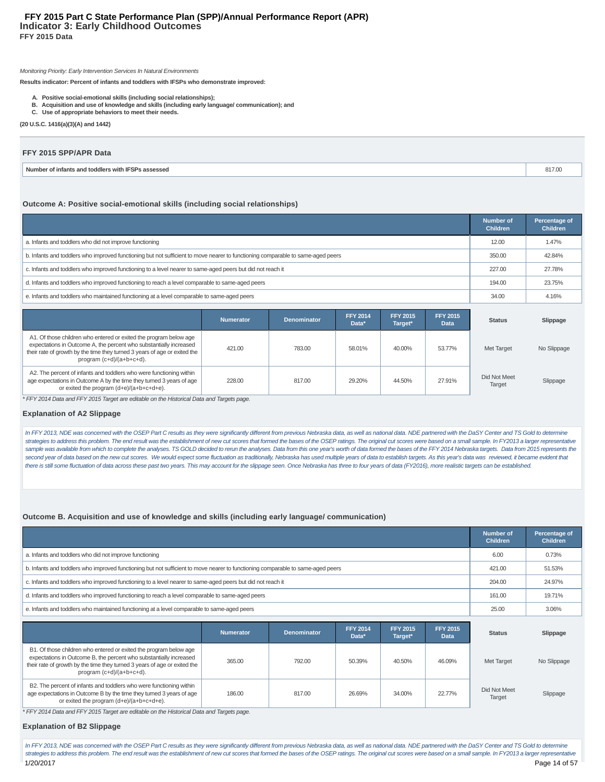#### **Indicator 3: Early Childhood Outcomes FFY 2015 Data FFY 2015 Part C State Performance Plan (SPP)/Annual Performance Report (APR)**

#### Monitoring Priority: Early Intervention Services In Natural Environments

**Results indicator: Percent of infants and toddlers with IFSPs who demonstrate improved:**

- **A. Positive social-emotional skills (including social relationships);**
- **B. Acquisition and use of knowledge and skills (including early language/ communication); and**
- **C. Use of appropriate behaviors to meet their needs.**

**(20 U.S.C. 1416(a)(3)(A) and 1442)**

#### **FFY 2015 SPP/APR Data**

| Numher<br>'s assessed<br>ntants and<br><b>toddlers</b><br>-witn i⊭<br>$\sim$<br> | 11 I.V |
|----------------------------------------------------------------------------------|--------|
|                                                                                  |        |

#### **Outcome A: Positive social-emotional skills (including social relationships)**

|                                                                                                                                 | <b>Number of</b><br><b>Children</b> | Percentage of<br><b>Children</b> |
|---------------------------------------------------------------------------------------------------------------------------------|-------------------------------------|----------------------------------|
| a. Infants and toddlers who did not improve functioning                                                                         | 12.00                               | 1.47%                            |
| b. Infants and toddlers who improved functioning but not sufficient to move nearer to functioning comparable to same-aged peers | 350.00                              | 42.84%                           |
| c. Infants and toddlers who improved functioning to a level nearer to same-aged peers but did not reach it                      | 227.00                              | 27.78%                           |
| d. Infants and toddlers who improved functioning to reach a level comparable to same-aged peers                                 | 194.00                              | 23.75%                           |
| e. Infants and toddlers who maintained functioning at a level comparable to same-aged peers                                     | 34.00                               | 4.16%                            |

|                                                                                                                                                                                                                                                                                                                                                                                                                                                                                                                                                                                 | <b>Numerator</b> | <b>Denominator</b> | <b>FFY 2014</b><br>Data* | <b>FFY 2015</b><br>Target* | <b>FFY 2015</b><br><b>Data</b> | <b>Status</b>          | Slippage    |
|---------------------------------------------------------------------------------------------------------------------------------------------------------------------------------------------------------------------------------------------------------------------------------------------------------------------------------------------------------------------------------------------------------------------------------------------------------------------------------------------------------------------------------------------------------------------------------|------------------|--------------------|--------------------------|----------------------------|--------------------------------|------------------------|-------------|
| A1. Of those children who entered or exited the program below age<br>expectations in Outcome A, the percent who substantially increased<br>their rate of growth by the time they turned 3 years of age or exited the<br>program (c+d)/(a+b+c+d).                                                                                                                                                                                                                                                                                                                                | 421.00           | 783.00             | 58.01%                   | 40.00%                     | 53.77%                         | Met Target             | No Slippage |
| A2. The percent of infants and toddlers who were functioning within<br>age expectations in Outcome A by the time they turned 3 years of age<br>or exited the program (d+e)/(a+b+c+d+e).<br>$\overline{a}$ $\overline{a}$ $\overline{a}$ $\overline{a}$ $\overline{a}$ $\overline{a}$ $\overline{a}$ $\overline{a}$ $\overline{a}$ $\overline{a}$ $\overline{a}$ $\overline{a}$ $\overline{a}$ $\overline{a}$ $\overline{a}$ $\overline{a}$ $\overline{a}$ $\overline{a}$ $\overline{a}$ $\overline{a}$ $\overline{a}$ $\overline{a}$ $\overline{a}$ $\overline{a}$ $\overline{$ | 228.00           | 817.00             | 29.20%                   | 44.50%                     | 27.91%                         | Did Not Meet<br>Target | Slippage    |

\* FFY 2014 Data and FFY 2015 Target are editable on the Historical Data and Targets page.

#### **Explanation of A2 Slippage**

In FFY 2013, NDE was concerned with the OSEP Part C results as they were significantly different from previous Nebraska data, as well as national data. NDE partnered with the DaSY Center and TS Gold to determine strategies to address this problem. The end result was the establishment of new cut scores that formed the bases of the OSEP ratings. The original cut scores were based on a small sample. In FY2013 a larger representative sample was available from which to complete the analyses. TS GOLD decided to rerun the analyses. Data from this one year's worth of data formed the bases of the FFY 2014 Nebraska targets. Data from 2015 represents the second year of data based on the new cut scores. We would expect some fluctuation as traditionally, Nebraska has used multiple years of data to establish targets. As this year's data was reviewed, it became evident that there is still some fluctuation of data across these past two years. This may account for the slippage seen. Once Nebraska has three to four years of data (FY2016), more realistic targets can be established.

#### **Outcome B. Acquisition and use of knowledge and skills (including early language/ communication)**

|                                                                                                                                 | Number of<br><b>Children</b> | Percentage of<br><b>Children</b> |
|---------------------------------------------------------------------------------------------------------------------------------|------------------------------|----------------------------------|
| a. Infants and toddlers who did not improve functioning                                                                         | 6.00                         | 0.73%                            |
| b. Infants and toddlers who improved functioning but not sufficient to move nearer to functioning comparable to same-aged peers | 421.00                       | 51.53%                           |
| c. Infants and toddlers who improved functioning to a level nearer to same-aged peers but did not reach it                      | 204.00                       | 24.97%                           |
| d. Infants and toddlers who improved functioning to reach a level comparable to same-aged peers                                 | 161.00                       | 19.71%                           |
| e. Infants and toddlers who maintained functioning at a level comparable to same-aged peers                                     | 25.00                        | 3.06%                            |

|                                                                                                                                                                                                                                                     | <b>Numerator</b> | <b>Denominator</b> | <b>FFY 2014</b><br>Data* | <b>FFY 2015</b><br>Target* | <b>FFY 2015</b><br>Data | <b>Status</b>          | Slippage    |
|-----------------------------------------------------------------------------------------------------------------------------------------------------------------------------------------------------------------------------------------------------|------------------|--------------------|--------------------------|----------------------------|-------------------------|------------------------|-------------|
| B1. Of those children who entered or exited the program below age<br>expectations in Outcome B, the percent who substantially increased<br>their rate of growth by the time they turned 3 years of age or exited the<br>program $(c+d)/(a+b+c+d)$ . | 365.00           | 792.00             | 50.39%                   | 40.50%                     | 46.09%                  | Met Target             | No Slippage |
| B2. The percent of infants and toddlers who were functioning within<br>age expectations in Outcome B by the time they turned 3 years of age<br>or exited the program (d+e)/(a+b+c+d+e).                                                             | 186.00           | 817.00             | 26.69%                   | 34.00%                     | 22.77%                  | Did Not Meet<br>Target | Slippage    |

\* FFY 2014 Data and FFY 2015 Target are editable on the Historical Data and Targets page.

#### **Explanation of B2 Slippage**

In FFY 2013, NDE was concerned with the OSEP Part C results as they were significantly different from previous Nebraska data, as well as national data. NDE partnered with the DaSY Center and TS Gold to determine strategies to address this problem. The end result was the establishment of new cut scores that formed the bases of the OSEP ratings. The original cut scores were based on a small sample. In FY2013 a larger representative 1/20/2017 Page 14 of 57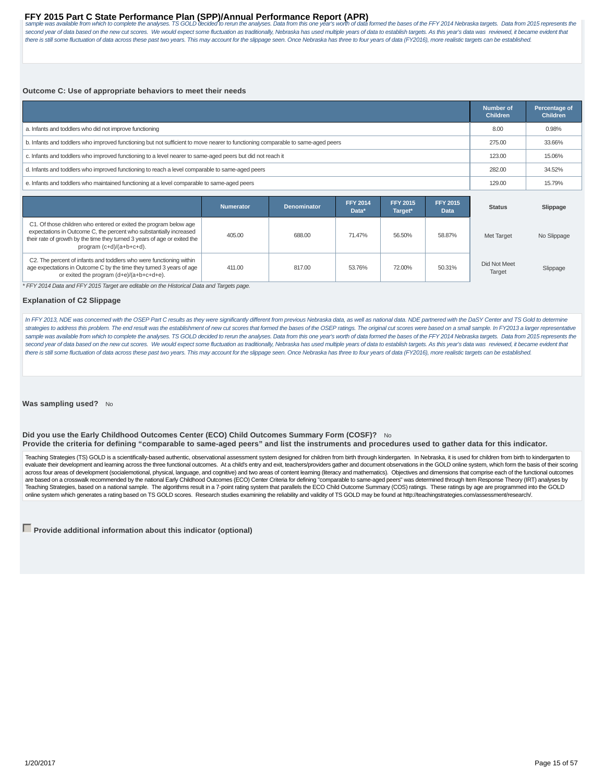## FFY 2015 Part C State Performance Plan (SPP)/Annual Performance Report (APR)<br>sample was available from which to complete the analyses. TS GOLD decided to rerun the analyses. Data from this one year's worth of data formed t

second year of data based on the new cut scores. We would expect some fluctuation as traditionally, Nebraska has used multiple years of data to establish targets. As this year's data was reviewed, it became evident that there is still some fluctuation of data across these past two years. This may account for the slippage seen. Once Nebraska has three to four years of data (FY2016), more realistic targets can be established.

#### **Outcome C: Use of appropriate behaviors to meet their needs**

|                                                                                                                                 | <b>Number of</b><br><b>Children</b> | Percentage of<br><b>Children</b> |
|---------------------------------------------------------------------------------------------------------------------------------|-------------------------------------|----------------------------------|
| a. Infants and toddlers who did not improve functioning                                                                         | 8.00                                | 0.98%                            |
| b. Infants and toddlers who improved functioning but not sufficient to move nearer to functioning comparable to same-aged peers | 275.00                              | 33.66%                           |
| c. Infants and toddlers who improved functioning to a level nearer to same-aged peers but did not reach it                      | 123.00                              | 15.06%                           |
| d. Infants and toddlers who improved functioning to reach a level comparable to same-aged peers                                 | 282.00                              | 34.52%                           |
| e. Infants and toddlers who maintained functioning at a level comparable to same-aged peers                                     | 129.00                              | 15.79%                           |

|                                                                                                                                                                                                                                                  | <b>Numerator</b> | <b>Denominator</b> | <b>FFY 2014</b><br>Data* | <b>FFY 2015</b><br>Target* | <b>FFY 2015</b><br>Data | <b>Status</b>          | Slippage    |
|--------------------------------------------------------------------------------------------------------------------------------------------------------------------------------------------------------------------------------------------------|------------------|--------------------|--------------------------|----------------------------|-------------------------|------------------------|-------------|
| C1. Of those children who entered or exited the program below age<br>expectations in Outcome C, the percent who substantially increased<br>their rate of growth by the time they turned 3 years of age or exited the<br>program (c+d)/(a+b+c+d). | 405.00           | 688.00             | 71.47%                   | 56.50%                     | 58.87%                  | Met Target             | No Slippage |
| C2. The percent of infants and toddlers who were functioning within<br>age expectations in Outcome C by the time they turned 3 years of age<br>or exited the program (d+e)/(a+b+c+d+e).                                                          | 411.00           | 817.00             | 53.76%                   | 72.00%                     | 50.31%                  | Did Not Meet<br>Target | Slippage    |

\* FFY 2014 Data and FFY 2015 Target are editable on the Historical Data and Targets page.

#### **Explanation of C2 Slippage**

In FFY 2013, NDE was concerned with the OSEP Part C results as they were significantly different from previous Nebraska data, as well as national data. NDE partnered with the DaSY Center and TS Gold to determine strategies to address this problem. The end result was the establishment of new cut scores that formed the bases of the OSEP ratings. The original cut scores were based on a small sample. In FY2013 a larger representative sample was available from which to complete the analyses. TS GOLD decided to rerun the analyses. Data from this one year's worth of data formed the bases of the FFY 2014 Nebraska targets. Data from 2015 represents the second year of data based on the new cut scores. We would expect some fluctuation as traditionally, Nebraska has used multiple years of data to establish targets. As this year's data was reviewed, it became evident that there is still some fluctuation of data across these past two years. This may account for the slippage seen. Once Nebraska has three to four years of data (FY2016), more realistic targets can be established.

**Was sampling used?** No

#### **Did you use the Early Childhood Outcomes Center (ECO) Child Outcomes Summary Form (COSF)?** No **Provide the criteria for defining "comparable to same-aged peers" and list the instruments and procedures used to gather data for this indicator.**

Teaching Strategies (TS) GOLD is a scientifically-based authentic, observational assessment system designed for children from birth through kindergarten. In Nebraska, it is used for children from birth to kindergarten to evaluate their development and leaming across the three functional outcomes. At a child's entry and exit, teachers/providers gather and document observations in the GOLD online system, which form the basis of their scoring are based on a crosswalk recommended by the national Early Childhood Outcomes (ECO) Center Criteria for defining "comparable to same-aged peers" was determined through Item Response Theory (IRT) analyses by Teaching Strategies, based on a national sample. The algorithms result in a 7-point rating system that parallels the ECO Child Outcome Summary (COS) ratings. These ratings by age are programmed into the GOLD online system which generates a rating based on TS GOLD scores. Research studies examining the reliability and validity of TS GOLD may be found at http://teachingstrategies.com/assessment/research/.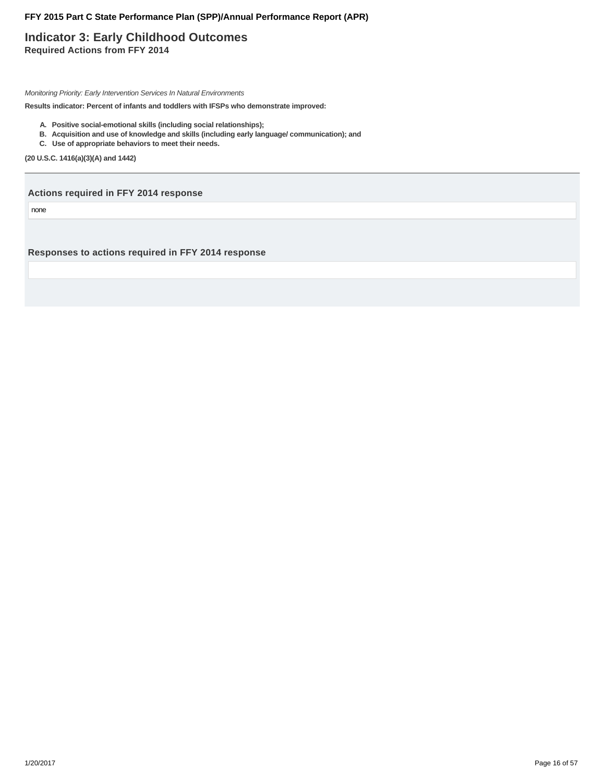### **Indicator 3: Early Childhood Outcomes Required Actions from FFY 2014**

Monitoring Priority: Early Intervention Services In Natural Environments

**Results indicator: Percent of infants and toddlers with IFSPs who demonstrate improved:**

- **A. Positive social-emotional skills (including social relationships);**
- **B. Acquisition and use of knowledge and skills (including early language/ communication); and**
- **C. Use of appropriate behaviors to meet their needs.**

**(20 U.S.C. 1416(a)(3)(A) and 1442)**

**Actions required in FFY 2014 response**

none

**Responses to actions required in FFY 2014 response**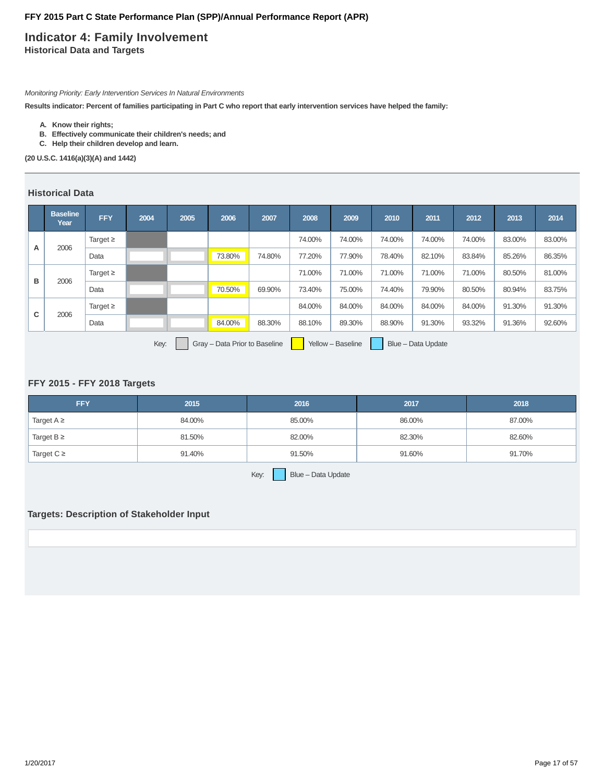### **Indicator 4: Family Involvement Historical Data and Targets**

Monitoring Priority: Early Intervention Services In Natural Environments

**Results indicator: Percent of families participating in Part C who report that early intervention services have helped the family:**

- **A. Know their rights;**
- **B. Effectively communicate their children's needs; and**
- **C. Help their children develop and learn.**

**(20 U.S.C. 1416(a)(3)(A) and 1442)**

### **Historical Data**

|                                                                                  | <b>Baseline</b><br>Year | <b>FFY</b>    | 2004 | 2005 | 2006   | 2007   | 2008   | 2009   | 2010   | 2011   | 2012   | 2013   | 2014   |
|----------------------------------------------------------------------------------|-------------------------|---------------|------|------|--------|--------|--------|--------|--------|--------|--------|--------|--------|
| A                                                                                | 2006                    | Target $\geq$ |      |      |        |        | 74.00% | 74.00% | 74.00% | 74.00% | 74.00% | 83.00% | 83.00% |
|                                                                                  |                         | Data          |      |      | 73.80% | 74.80% | 77.20% | 77.90% | 78.40% | 82.10% | 83.84% | 85.26% | 86.35% |
|                                                                                  |                         | Target $\geq$ |      |      |        |        | 71.00% | 71.00% | 71.00% | 71.00% | 71.00% | 80.50% | 81.00% |
| в                                                                                | 2006                    | Data          |      |      | 70.50% | 69.90% | 73.40% | 75.00% | 74.40% | 79.90% | 80.50% | 80.94% | 83.75% |
| C                                                                                |                         | Target $\geq$ |      |      |        |        | 84.00% | 84.00% | 84.00% | 84.00% | 84.00% | 91.30% | 91.30% |
|                                                                                  | 2006                    | Data          |      |      | 84.00% | 88.30% | 88.10% | 89.30% | 88.90% | 91.30% | 93.32% | 91.36% | 92.60% |
| Gray - Data Prior to Baseline<br>Key:<br>Yellow - Baseline<br>Blue - Data Update |                         |               |      |      |        |        |        |        |        |        |        |        |        |

#### **FFY 2015 - FFY 2018 Targets**

| <b>FFY</b>      | 2015   | 2016                     | 2017   | 2018   |
|-----------------|--------|--------------------------|--------|--------|
| Target $A \geq$ | 84.00% | 85.00%                   | 86.00% | 87.00% |
| Target $B \geq$ | 81.50% | 82.00%                   | 82.30% | 82.60% |
| Target $C \geq$ | 91.40% | 91.50%                   | 91.60% | 91.70% |
|                 |        | $\overline{\phantom{a}}$ |        |        |

## Key:  $B\text{S}$  Blue – Data Update

### **Targets: Description of Stakeholder Input**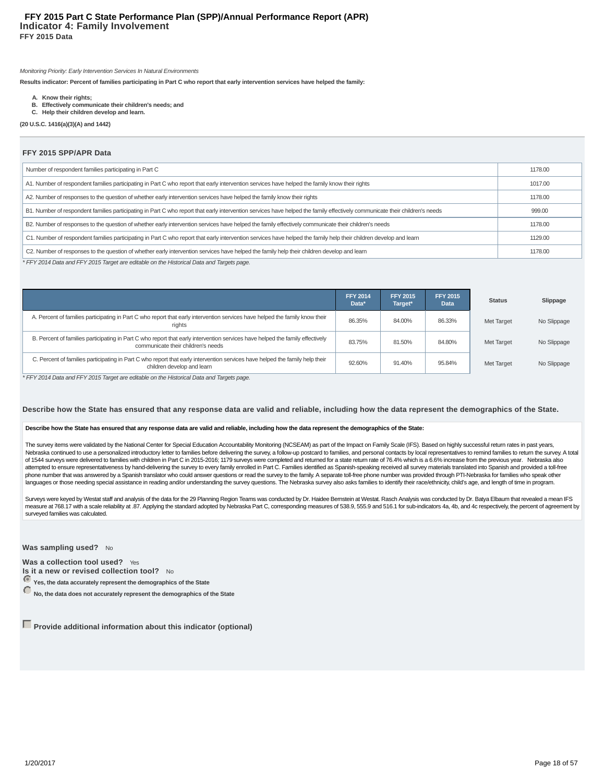#### **Indicator 4: Family Involvement FFY 2015 Data FFY 2015 Part C State Performance Plan (SPP)/Annual Performance Report (APR)**

Monitoring Priority: Early Intervention Services In Natural Environments

**Results indicator: Percent of families participating in Part C who report that early intervention services have helped the family:**

- **A. Know their rights;**
- **B. Effectively communicate their children's needs; and**
- **C. Help their children develop and learn.**

**(20 U.S.C. 1416(a)(3)(A) and 1442)**

#### **FFY 2015 SPP/APR Data**

| Number of respondent families participating in Part C                                                                                                                       | 1178.00 |
|-----------------------------------------------------------------------------------------------------------------------------------------------------------------------------|---------|
| A1. Number of respondent families participating in Part C who report that early intervention services have helped the family know their rights                              | 1017.00 |
| A2. Number of responses to the question of whether early intervention services have helped the family know their rights                                                     | 1178.00 |
| B1. Number of respondent families participating in Part C who report that early intervention services have helped the family effectively communicate their children's needs | 999.00  |
| B2. Number of responses to the question of whether early intervention services have helped the family effectively communicate their children's needs                        | 1178.00 |
| C1. Number of respondent families participating in Part C who report that early intervention services have helped the family help their children develop and learn          | 1129.00 |
| C2. Number of responses to the question of whether early intervention services have helped the family help their children develop and learn                                 | 1178.00 |

\* FFY 2014 Data and FFY 2015 Target are editable on the Historical Data and Targets page.

|                                                                                                                                                                     | <b>FFY 2014</b><br>Data* | <b>FFY 2015</b><br>Target* | <b>FFY 2015</b><br><b>Data</b> | <b>Status</b> | Slippage    |
|---------------------------------------------------------------------------------------------------------------------------------------------------------------------|--------------------------|----------------------------|--------------------------------|---------------|-------------|
| A. Percent of families participating in Part C who report that early intervention services have helped the family know their<br>rights                              | 86.35%                   | 84.00%                     | 86.33%                         | Met Target    | No Slippage |
| B. Percent of families participating in Part C who report that early intervention services have helped the family effectively<br>communicate their children's needs | 83.75%                   | 81.50%                     | 84.80%                         | Met Target    | No Slippage |
| C. Percent of families participating in Part C who report that early intervention services have helped the family help their<br>children develop and learn          | 92.60%                   | 91.40%                     | 95.84%                         | Met Target    | No Slippage |

\* FFY 2014 Data and FFY 2015 Target are editable on the Historical Data and Targets page.

#### **Describe how the State has ensured that any response data are valid and reliable, including how the data represent the demographics of the State.**

#### **Describe how the State has ensured that any response data are valid and reliable, including how the data represent the demographics of the State:**

The survey items were validated by the National Center for Special Education Accountability Monitoring (NCSEAM) as part of the Impact on Family Scale (IFS). Based on highly successful return rates in past years, Nebraska continued to use a personalized introductory letter to families before delivering the survey, a follow-up postcard to families, and personal contacts by local representatives to remind families to return the surve of 1544 surveys were delivered to families with children in Part C in 2015-2016; 1179 surveys were completed and returned for a state return rate of 76.4% which is a 6.6% increase from the previous year. Nebraska also attempted to ensure representativeness by hand-delivering the survey to every family enrolled in Part C. Families identified as Spanish-speaking received all survey materials translated into Spanish and provided a toll-fre phone number that was answered by a Spanish translator who could answer questions or read the survey to the family. A separate toll-free phone number was provided through PTI-Nebraska for families who speak other languages or those needing special assistance in reading and/or understanding the survey questions. The Nebraska survey also asks families to identify their race/ethnicity, child's age, and length of time in program.

Surveys were keyed by Westat staff and analysis of the data for the 29 Planning Region Teams was conducted by Dr. Haidee Bernstein at Westat. Rasch Analysis was conducted by Dr. Batya Elbaum that revealed a mean IFS measure at 768.17 with a scale reliability at .87. Applying the standard adopted by Nebraska Part C, corresponding measures of 538.9, 555.9 and 516.1 for sub-indicators 4a, 4b, and 4c respectively, the percent of agreement surveyed families was calculated.

**Was sampling used?** No

**Was a collection tool used?** Yes **Is it a new or revised collection tool?** No

**Yes, the data accurately represent the demographics of the State**

No, the data does not accurately represent the demographics of the State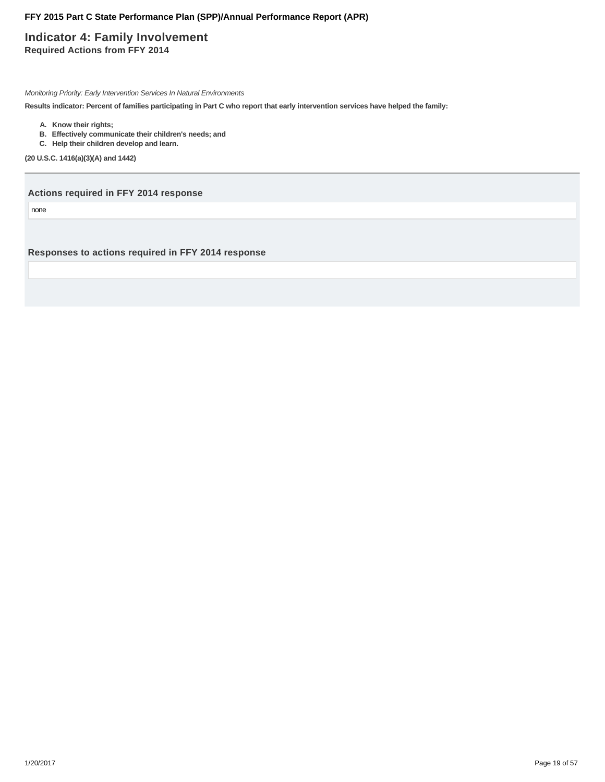### **Indicator 4: Family Involvement Required Actions from FFY 2014**

Monitoring Priority: Early Intervention Services In Natural Environments

**Results indicator: Percent of families participating in Part C who report that early intervention services have helped the family:**

- **A. Know their rights;**
- **B. Effectively communicate their children's needs; and**
- **C. Help their children develop and learn.**

**(20 U.S.C. 1416(a)(3)(A) and 1442)**

**Actions required in FFY 2014 response**

none

**Responses to actions required in FFY 2014 response**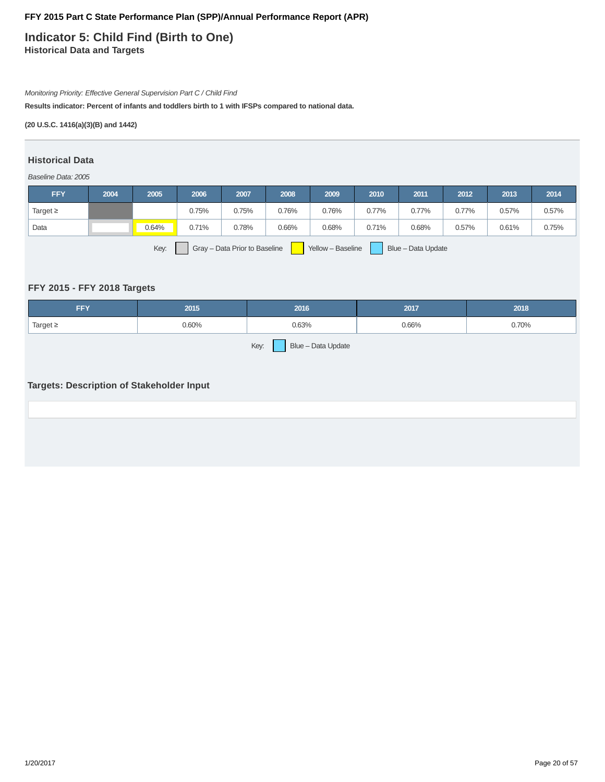**Indicator 5: Child Find (Birth to One) Historical Data and Targets**

### Monitoring Priority: Effective General Supervision Part C / Child Find

**Results indicator: Percent of infants and toddlers birth to 1 with IFSPs compared to national data.**

#### **(20 U.S.C. 1416(a)(3)(B) and 1442)**

#### **Historical Data**

#### Baseline Data: 2005

| <b>FFY</b>                                                                       | 2004 | 2005  | 2006  | 2007  | 2008  | 2009  | 2010  | 2011  | 2012  | 2013  | 2014  |
|----------------------------------------------------------------------------------|------|-------|-------|-------|-------|-------|-------|-------|-------|-------|-------|
| Target $\geq$                                                                    |      |       | 0.75% | 0.75% | 0.76% | 0.76% | 0.77% | 0.77% | 0.77% | 0.57% | 0.57% |
| Data                                                                             |      | 0.64% | 0.71% | 0.78% | 0.66% | 0.68% | 0.71% | 0.68% | 0.57% | 0.61% | 0.75% |
| Key:<br>Gray - Data Prior to Baseline<br>Yellow - Baseline<br>Blue - Data Update |      |       |       |       |       |       |       |       |       |       |       |

### **FFY 2015 - FFY 2018 Targets**

| <b>FFY</b>                 | 2015  | 2016  | 2017  | 2018  |  |  |  |  |
|----------------------------|-------|-------|-------|-------|--|--|--|--|
| Target $\geq$              | 0.60% | 0.63% | 0.66% | 0.70% |  |  |  |  |
| Key:<br>Blue - Data Update |       |       |       |       |  |  |  |  |

### **Targets: Description of Stakeholder Input**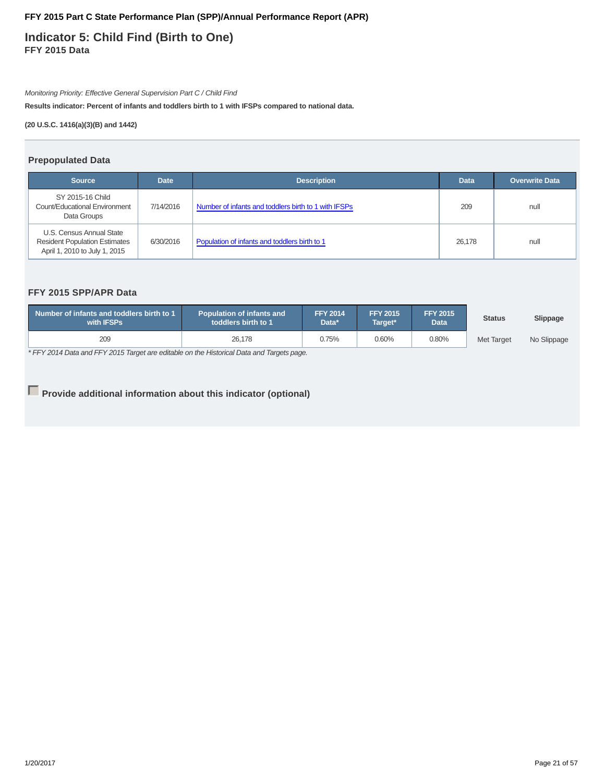**Indicator 5: Child Find (Birth to One) FFY 2015 Data**

Monitoring Priority: Effective General Supervision Part C / Child Find

**Results indicator: Percent of infants and toddlers birth to 1 with IFSPs compared to national data.**

**(20 U.S.C. 1416(a)(3)(B) and 1442)**

#### **Prepopulated Data**

| <b>Source</b>                                                                                     | <b>Date</b> | <b>Description</b>                                   | <b>Data</b> | <b>Overwrite Data</b> |
|---------------------------------------------------------------------------------------------------|-------------|------------------------------------------------------|-------------|-----------------------|
| SY 2015-16 Child<br>Count/Educational Environment<br>Data Groups                                  | 7/14/2016   | Number of infants and toddlers birth to 1 with IFSPs | 209         | null                  |
| U.S. Census Annual State<br><b>Resident Population Estimates</b><br>April 1, 2010 to July 1, 2015 | 6/30/2016   | Population of infants and toddlers birth to 1        | 26.178      | null                  |

### **FFY 2015 SPP/APR Data**

| Number of infants and toddlers birth to 1<br>with <b>IFSPs</b> | <b>Population of infants and</b><br>toddlers birth to 1 | <b>FFY 2014</b><br>Data* | <b>FFY 2015</b><br>Target* | <b>FFY 2015</b><br><b>Data</b> | <b>Status</b>     | Slippage    |
|----------------------------------------------------------------|---------------------------------------------------------|--------------------------|----------------------------|--------------------------------|-------------------|-------------|
| 209                                                            | 26.178                                                  | 0.75%                    | 0.60%                      | 0.80%                          | <b>Met Target</b> | No Slippage |

\* FFY 2014 Data and FFY 2015 Target are editable on the Historical Data and Targets page.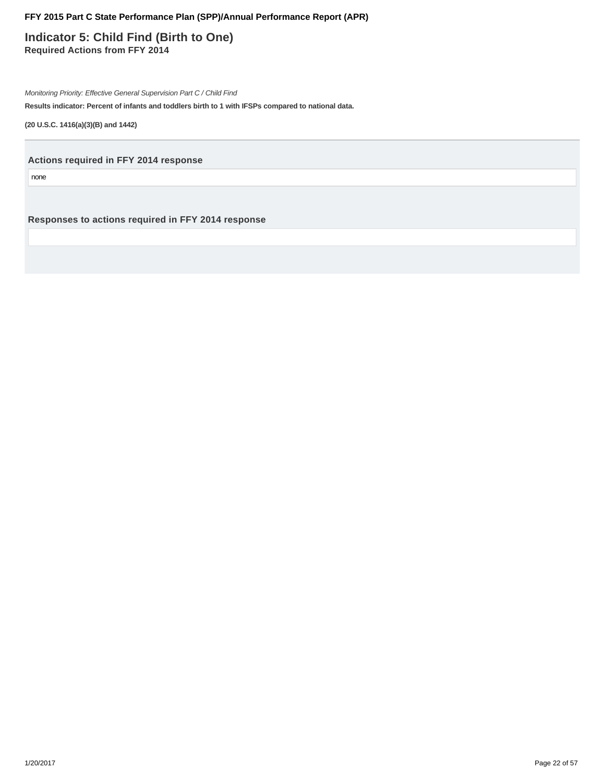**Indicator 5: Child Find (Birth to One) Required Actions from FFY 2014**

Monitoring Priority: Effective General Supervision Part C / Child Find

**Results indicator: Percent of infants and toddlers birth to 1 with IFSPs compared to national data.**

**(20 U.S.C. 1416(a)(3)(B) and 1442)**

**Actions required in FFY 2014 response**

none

**Responses to actions required in FFY 2014 response**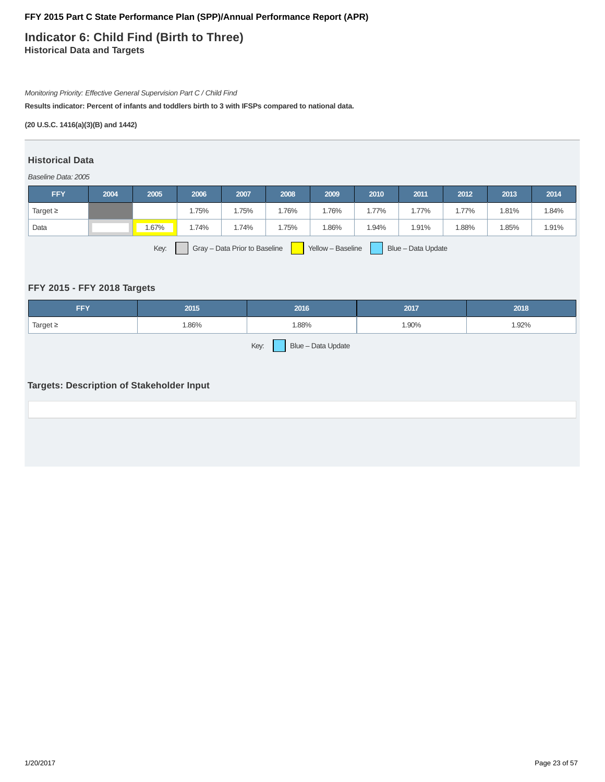### **Indicator 6: Child Find (Birth to Three) Historical Data and Targets**

#### Monitoring Priority: Effective General Supervision Part C / Child Find

**Results indicator: Percent of infants and toddlers birth to 3 with IFSPs compared to national data.**

#### **(20 U.S.C. 1416(a)(3)(B) and 1442)**

#### **Historical Data**

#### Baseline Data: 2005

| <b>FFY</b>                                                                       | 2004 | 2005  | 2006  | 2007  | 2008 | 2009 | 2010    | 2011  | 2012    | 2013  | 2014  |
|----------------------------------------------------------------------------------|------|-------|-------|-------|------|------|---------|-------|---------|-------|-------|
| Target $\geq$                                                                    |      |       | 1.75% | 1.75% | .76% | .76% | $.77\%$ | 1.77% | $.77\%$ | 1.81% | 1.84% |
| Data                                                                             |      | 1.67% | .74%  | 1.74% | .75% | .86% | 1.94%   | 1.91% | .88%    | 1.85% | 1.91% |
| Key:<br>Blue - Data Update<br>Gray - Data Prior to Baseline<br>Yellow - Baseline |      |       |       |       |      |      |         |       |         |       |       |

### **FFY 2015 - FFY 2018 Targets**

| <b>FFY</b>                 | 2015  | 2016 | 2017  | 2018  |  |  |  |  |
|----------------------------|-------|------|-------|-------|--|--|--|--|
| Target $\geq$              | 1.86% | .88% | 1.90% | 1.92% |  |  |  |  |
| Key:<br>Blue - Data Update |       |      |       |       |  |  |  |  |

### **Targets: Description of Stakeholder Input**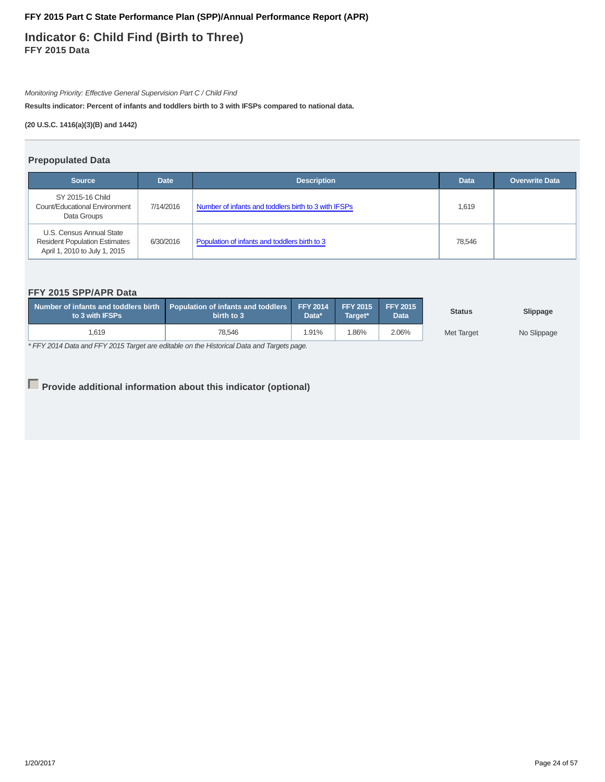**Indicator 6: Child Find (Birth to Three) FFY 2015 Data**

Monitoring Priority: Effective General Supervision Part C / Child Find

**Results indicator: Percent of infants and toddlers birth to 3 with IFSPs compared to national data.**

**(20 U.S.C. 1416(a)(3)(B) and 1442)**

#### **Prepopulated Data**

| <b>Source</b>                                                                                     | <b>Date</b> | <b>Description</b>                                   | <b>Data</b> | <b>Overwrite Data</b> |
|---------------------------------------------------------------------------------------------------|-------------|------------------------------------------------------|-------------|-----------------------|
| SY 2015-16 Child<br>Count/Educational Environment<br>Data Groups                                  | 7/14/2016   | Number of infants and toddlers birth to 3 with IFSPs | 1,619       |                       |
| U.S. Census Annual State<br><b>Resident Population Estimates</b><br>April 1, 2010 to July 1, 2015 | 6/30/2016   | Population of infants and toddlers birth to 3        | 78.546      |                       |

### **FFY 2015 SPP/APR Data**

| Number of infants and toddlers birth Population of infants and toddlers FFY 2014 FFY 2015<br>to 3 with IFSPs | birth to 3 | Data* | Target* | $\sqrt{2015}$<br>Data | <b>Status</b> | Slippage    |
|--------------------------------------------------------------------------------------------------------------|------------|-------|---------|-----------------------|---------------|-------------|
| 1,619                                                                                                        | 78.546     | 1.91% | .86%    | 2.06%                 | Met Target    | No Slippage |

\* FFY 2014 Data and FFY 2015 Target are editable on the Historical Data and Targets page.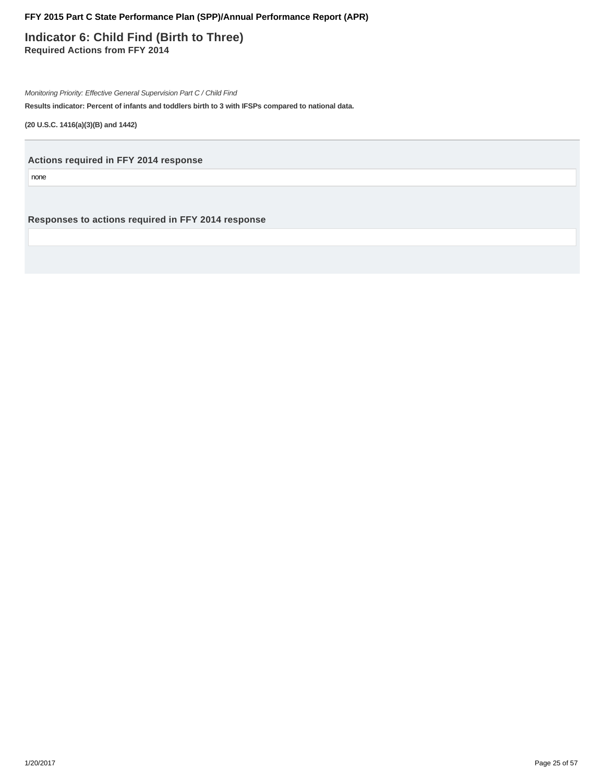**Indicator 6: Child Find (Birth to Three) Required Actions from FFY 2014**

Monitoring Priority: Effective General Supervision Part C / Child Find

**Results indicator: Percent of infants and toddlers birth to 3 with IFSPs compared to national data.**

**(20 U.S.C. 1416(a)(3)(B) and 1442)**

**Actions required in FFY 2014 response**

none

**Responses to actions required in FFY 2014 response**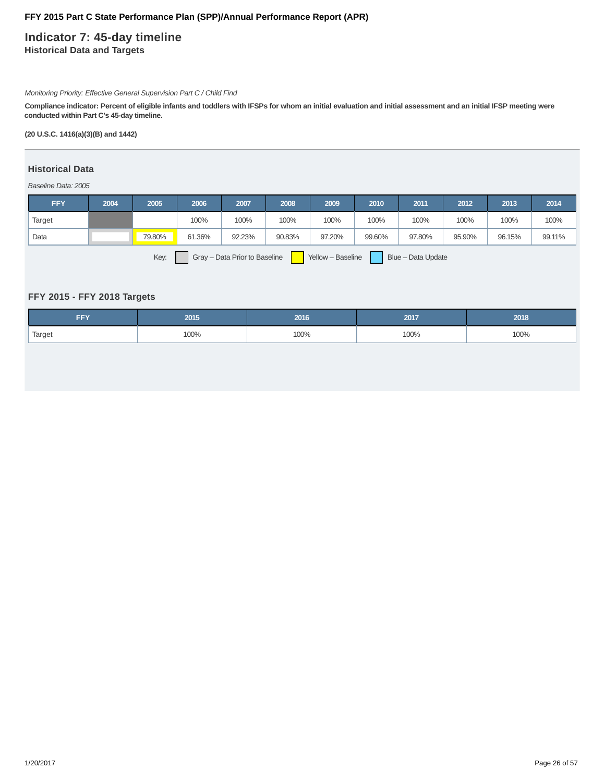### **Indicator 7: 45-day timeline Historical Data and Targets**

#### Monitoring Priority: Effective General Supervision Part C / Child Find

**Compliance indicator: Percent of eligible infants and toddlers with IFSPs for whom an initial evaluation and initial assessment and an initial IFSP meeting were conducted within Part C's 45-day timeline.**

**(20 U.S.C. 1416(a)(3)(B) and 1442)**

### **Historical Data**

#### Baseline Data: 2005

| <b>FFY</b> | 2004 | 2005   | 2006   | 2007   | 2008   | 2009   | 2010   | 2011   | 2012   | 2013   | 2014   |
|------------|------|--------|--------|--------|--------|--------|--------|--------|--------|--------|--------|
| Target     |      |        | 100%   | 100%   | 100%   | 100%   | 100%   | 100%   | 100%   | 100%   | 100%   |
| Data       |      | 79.80% | 61.36% | 92.23% | 90.83% | 97.20% | 99.60% | 97.80% | 95.90% | 96.15% | 99.11% |
|            |      |        |        |        |        |        |        |        |        |        |        |

Key: Gray – Data Prior to Baseline Yellow – Baseline Blue – Data Update

### **FFY 2015 - FFY 2018 Targets**

| --v<br>. | 2015 | 2016. | 2017 | 2018 |
|----------|------|-------|------|------|
| Target   | 100% | 100%  | 100% | 100% |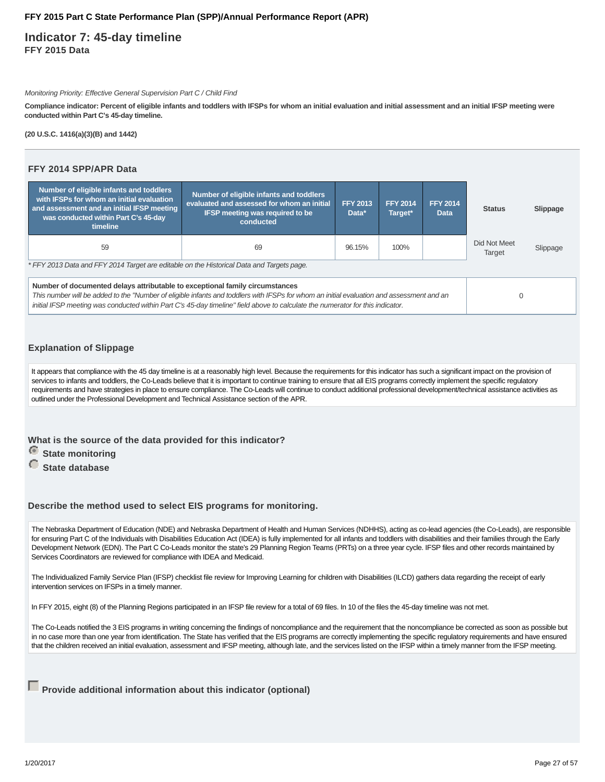**Indicator 7: 45-day timeline FFY 2015 Data**

#### Monitoring Priority: Effective General Supervision Part C / Child Find

**Compliance indicator: Percent of eligible infants and toddlers with IFSPs for whom an initial evaluation and initial assessment and an initial IFSP meeting were conducted within Part C's 45-day timeline.**

**(20 U.S.C. 1416(a)(3)(B) and 1442)**

#### **FFY 2014 SPP/APR Data**

| Number of eligible infants and toddlers<br>with IFSPs for whom an initial evaluation<br>and assessment and an initial IFSP meeting<br>was conducted within Part C's 45-day<br>timeline                                                                                                                                                                      | Number of eligible infants and toddlers<br>evaluated and assessed for whom an initial<br><b>IFSP meeting was required to be</b><br>conducted | <b>FFY 2013</b><br>Data* | <b>FFY 2014</b><br>Target* | <b>FFY 2014</b><br><b>Data</b> | <b>Status</b>          | Slippage |  |  |
|-------------------------------------------------------------------------------------------------------------------------------------------------------------------------------------------------------------------------------------------------------------------------------------------------------------------------------------------------------------|----------------------------------------------------------------------------------------------------------------------------------------------|--------------------------|----------------------------|--------------------------------|------------------------|----------|--|--|
| 59<br>100%<br>69<br>96.15%                                                                                                                                                                                                                                                                                                                                  |                                                                                                                                              |                          |                            |                                | Did Not Meet<br>Target | Slippage |  |  |
| * FFY 2013 Data and FFY 2014 Target are editable on the Historical Data and Targets page.                                                                                                                                                                                                                                                                   |                                                                                                                                              |                          |                            |                                |                        |          |  |  |
| Number of documented delays attributable to exceptional family circumstances<br>This number will be added to the "Number of eligible infants and toddlers with IFSPs for whom an initial evaluation and assessment and an<br>initial IFSP meeting was conducted within Part C's 45-day timeline" field above to calculate the numerator for this indicator. | $\Omega$                                                                                                                                     |                          |                            |                                |                        |          |  |  |

### **Explanation of Slippage**

It appears that compliance with the 45 day timeline is at a reasonably high level. Because the requirements for this indicator has such a significant impact on the provision of services to infants and toddlers, the Co-Leads believe that it is important to continue training to ensure that all EIS programs correctly implement the specific regulatory requirements and have strategies in place to ensure compliance. The Co-Leads will continue to conduct additional professional development/technical assistance activities as outlined under the Professional Development and Technical Assistance section of the APR.

**What is the source of the data provided for this indicator?**

*<u>State monitoring</u>* 

 **State database**

#### **Describe the method used to select EIS programs for monitoring.**

The Nebraska Department of Education (NDE) and Nebraska Department of Health and Human Services (NDHHS), acting as co-lead agencies (the Co-Leads), are responsible for ensuring Part C of the Individuals with Disabilities Education Act (IDEA) is fully implemented for all infants and toddlers with disabilities and their families through the Early Development Network (EDN). The Part C Co-Leads monitor the state's 29 Planning Region Teams (PRTs) on a three year cycle. IFSP files and other records maintained by Services Coordinators are reviewed for compliance with IDEA and Medicaid.

The Individualized Family Service Plan (IFSP) checklist file review for Improving Learning for children with Disabilities (ILCD) gathers data regarding the receipt of early intervention services on IFSPs in a timely manner.

In FFY 2015, eight (8) of the Planning Regions participated in an IFSP file review for a total of 69 files. In 10 of the files the 45-day timeline was not met.

The Co-Leads notified the 3 EIS programs in writing concerning the findings of noncompliance and the requirement that the noncompliance be corrected as soon as possible but in no case more than one year from identification. The State has verified that the EIS programs are correctly implementing the specific regulatory requirements and have ensured that the children received an initial evaluation, assessment and IFSP meeting, although late, and the services listed on the IFSP within a timely manner from the IFSP meeting.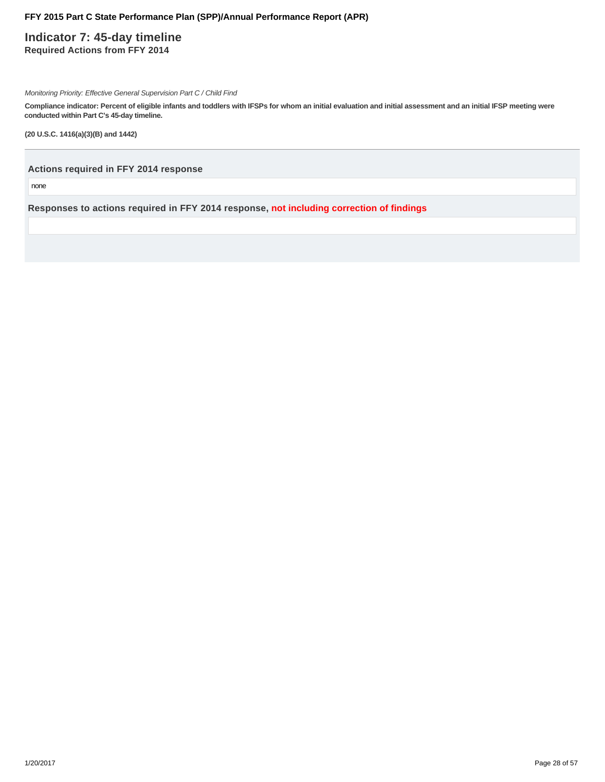### **Indicator 7: 45-day timeline Required Actions from FFY 2014**

Monitoring Priority: Effective General Supervision Part C / Child Find

**Compliance indicator: Percent of eligible infants and toddlers with IFSPs for whom an initial evaluation and initial assessment and an initial IFSP meeting were conducted within Part C's 45-day timeline.**

**(20 U.S.C. 1416(a)(3)(B) and 1442)**

**Actions required in FFY 2014 response**

none

**Responses to actions required in FFY 2014 response, not including correction of findings**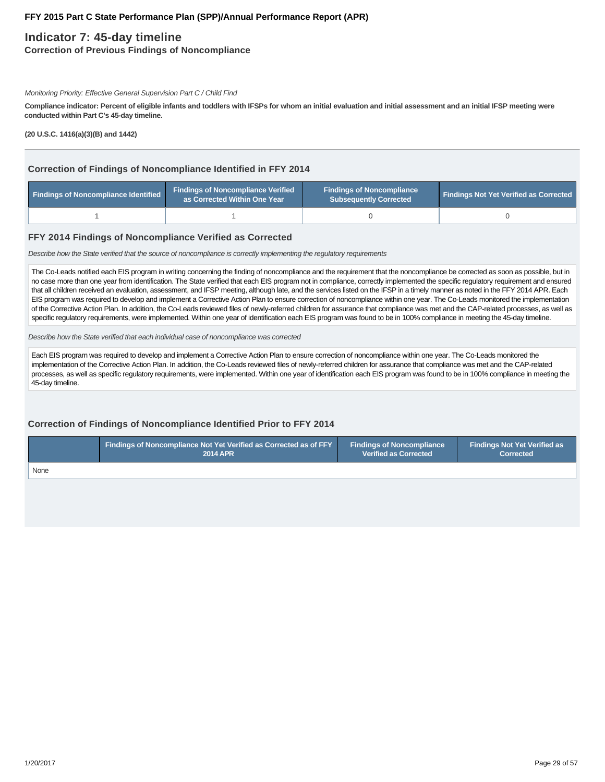### **Indicator 7: 45-day timeline**

**Correction of Previous Findings of Noncompliance**

#### Monitoring Priority: Effective General Supervision Part C / Child Find

**Compliance indicator: Percent of eligible infants and toddlers with IFSPs for whom an initial evaluation and initial assessment and an initial IFSP meeting were conducted within Part C's 45-day timeline.**

**(20 U.S.C. 1416(a)(3)(B) and 1442)**

#### **Correction of Findings of Noncompliance Identified in FFY 2014**

| Findings of Noncompliance Identified | <b>Findings of Noncompliance Verified</b><br>as Corrected Within One Year | <b>Findings of Noncompliance</b><br><b>Subsequently Corrected</b> | <b>Findings Not Yet Verified as Corrected</b> |  |
|--------------------------------------|---------------------------------------------------------------------------|-------------------------------------------------------------------|-----------------------------------------------|--|
|                                      |                                                                           |                                                                   |                                               |  |

#### **FFY 2014 Findings of Noncompliance Verified as Corrected**

Describe how the State verified that the source of noncompliance is correctly implementing the regulatory requirements

The Co-Leads notified each EIS program in writing concerning the finding of noncompliance and the requirement that the noncompliance be corrected as soon as possible, but in no case more than one year from identification. The State verified that each EIS program not in compliance, correctly implemented the specific regulatory requirement and ensured that all children received an evaluation, assessment, and IFSP meeting, although late, and the services listed on the IFSP in a timely manner as noted in the FFY 2014 APR. Each EIS program was required to develop and implement a Corrective Action Plan to ensure correction of noncompliance within one year. The Co-Leads monitored the implementation of the Corrective Action Plan. In addition, the Co-Leads reviewed files of newly-referred children for assurance that compliance was met and the CAP-related processes, as well as specific regulatory requirements, were implemented. Within one year of identification each EIS program was found to be in 100% compliance in meeting the 45-day timeline.

Describe how the State verified that each individual case of noncompliance was corrected

Each EIS program was required to develop and implement a Corrective Action Plan to ensure correction of noncompliance within one year. The Co-Leads monitored the implementation of the Corrective Action Plan. In addition, the Co-Leads reviewed files of newly-referred children for assurance that compliance was met and the CAP-related processes, as well as specific regulatory requirements, were implemented. Within one year of identification each EIS program was found to be in 100% compliance in meeting the 45-day timeline.

### **Correction of Findings of Noncompliance Identified Prior to FFY 2014**

|      | Findings of Noncompliance Not Yet Verified as Corrected as of FFY | <b>Findings of Noncompliance</b> | <b>Findings Not Yet Verified as</b> |  |
|------|-------------------------------------------------------------------|----------------------------------|-------------------------------------|--|
|      | <b>2014 APR</b>                                                   | <b>Verified as Corrected</b>     | <b>Corrected</b>                    |  |
| None |                                                                   |                                  |                                     |  |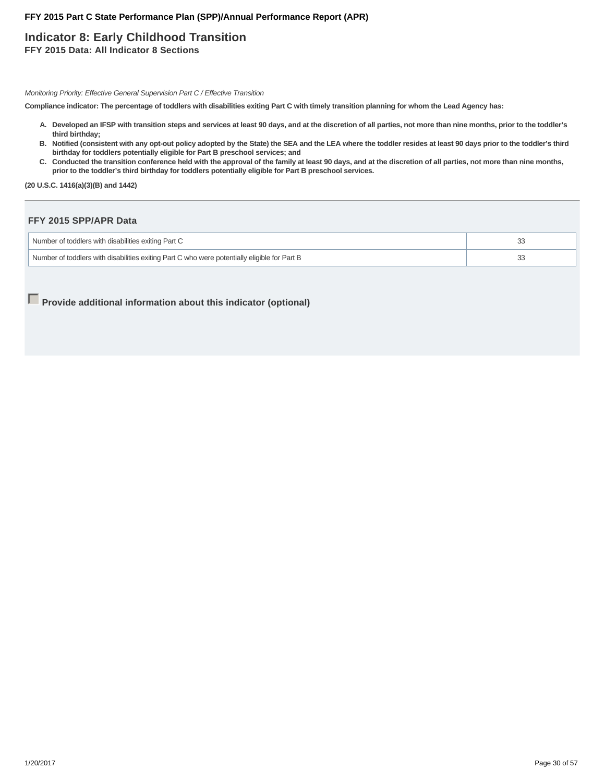## **Indicator 8: Early Childhood Transition**

**FFY 2015 Data: All Indicator 8 Sections**

Monitoring Priority: Effective General Supervision Part C / Effective Transition

**Compliance indicator: The percentage of toddlers with disabilities exiting Part C with timely transition planning for whom the Lead Agency has:**

- **Developed an IFSP with transition steps and services at least 90 days, and at the discretion of all parties, not more than nine months, prior to the toddler's A. third birthday;**
- **Notified (consistent with any opt-out policy adopted by the State) the SEA and the LEA where the toddler resides at least 90 days prior to the toddler's third B. birthday for toddlers potentially eligible for Part B preschool services; and**
- C. Conducted the transition conference held with the approval of the family at least 90 days, and at the discretion of all parties, not more than nine months, **prior to the toddler's third birthday for toddlers potentially eligible for Part B preschool services.**

**(20 U.S.C. 1416(a)(3)(B) and 1442)**

#### **FFY 2015 SPP/APR Data**

| Number of toddlers with disabilities exiting Part C                                          |  |
|----------------------------------------------------------------------------------------------|--|
| Number of toddlers with disabilities exiting Part C who were potentially eligible for Part B |  |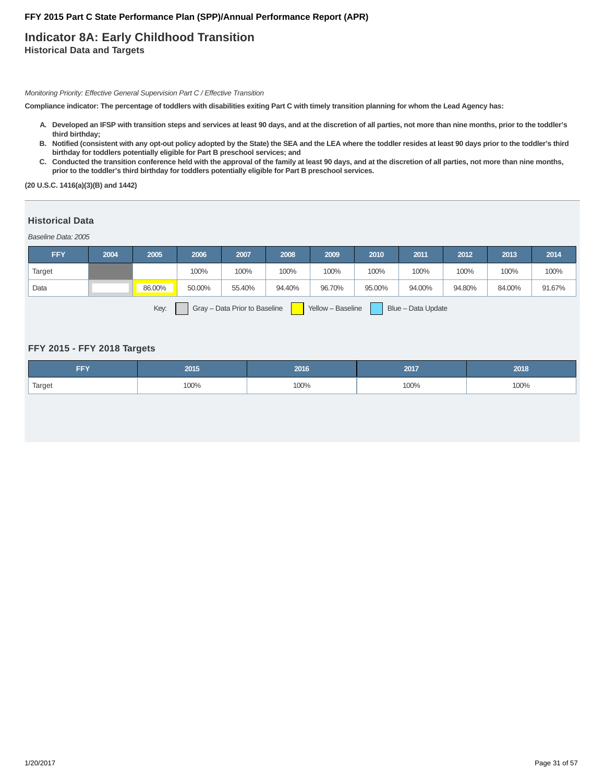### **Indicator 8A: Early Childhood Transition Historical Data and Targets**

Monitoring Priority: Effective General Supervision Part C / Effective Transition

**Compliance indicator: The percentage of toddlers with disabilities exiting Part C with timely transition planning for whom the Lead Agency has:**

- **Developed an IFSP with transition steps and services at least 90 days, and at the discretion of all parties, not more than nine months, prior to the toddler's A. third birthday;**
- **Notified (consistent with any opt-out policy adopted by the State) the SEA and the LEA where the toddler resides at least 90 days prior to the toddler's third B. birthday for toddlers potentially eligible for Part B preschool services; and**
- C. Conducted the transition conference held with the approval of the family at least 90 days, and at the discretion of all parties, not more than nine months, **prior to the toddler's third birthday for toddlers potentially eligible for Part B preschool services.**

**(20 U.S.C. 1416(a)(3)(B) and 1442)**

#### **Historical Data**

Baseline Data: 2005

| <b>FFY</b>                                                                       | 2004 | 2005   | 2006   | 2007   | 2008   | 2009   | 2010   | 2011   | 2012   | 2013   | 2014   |
|----------------------------------------------------------------------------------|------|--------|--------|--------|--------|--------|--------|--------|--------|--------|--------|
| Target                                                                           |      |        | 100%   | 100%   | 100%   | 100%   | 100%   | 100%   | 100%   | 100%   | 100%   |
| Data                                                                             |      | 86.00% | 50.00% | 55.40% | 94.40% | 96.70% | 95.00% | 94.00% | 94.80% | 84.00% | 91.67% |
| Key:<br>Gray - Data Prior to Baseline<br>Blue - Data Update<br>Yellow - Baseline |      |        |        |        |        |        |        |        |        |        |        |

**FFY 2015 - FFY 2018 Targets**

| <b>CONTINUES</b> | 2015 | 2016 | 2017 | 2018 |
|------------------|------|------|------|------|
| Target           | 100% | 100% | 100% | 100% |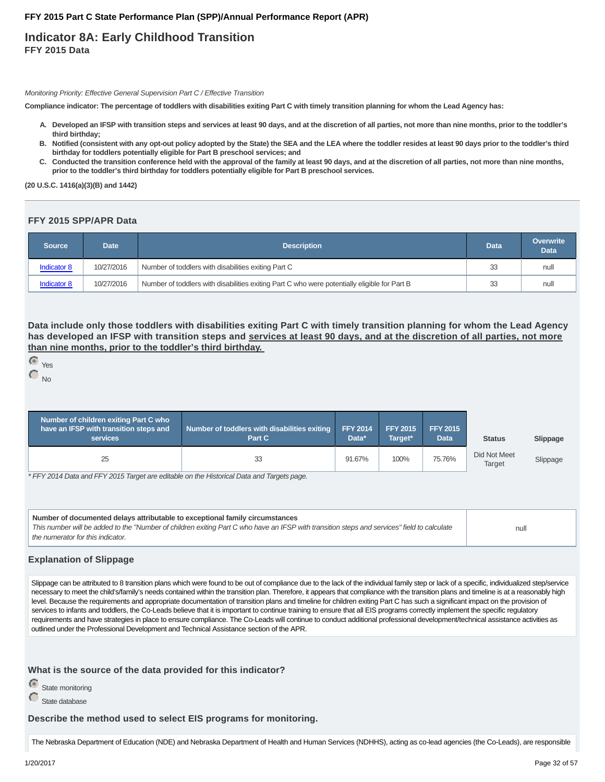### **Indicator 8A: Early Childhood Transition FFY 2015 Data**

Monitoring Priority: Effective General Supervision Part C / Effective Transition

**Compliance indicator: The percentage of toddlers with disabilities exiting Part C with timely transition planning for whom the Lead Agency has:**

- **Developed an IFSP with transition steps and services at least 90 days, and at the discretion of all parties, not more than nine months, prior to the toddler's A. third birthday;**
- **Notified (consistent with any opt-out policy adopted by the State) the SEA and the LEA where the toddler resides at least 90 days prior to the toddler's third B. birthday for toddlers potentially eligible for Part B preschool services; and**
- C. Conducted the transition conference held with the approval of the family at least 90 days, and at the discretion of all parties, not more than nine months, **prior to the toddler's third birthday for toddlers potentially eligible for Part B preschool services.**

**(20 U.S.C. 1416(a)(3)(B) and 1442)**

#### **FFY 2015 SPP/APR Data**

| Source             | Date       | <b>Description</b>                                                                           |     | <b>Overwrite</b><br><b>Data</b> |
|--------------------|------------|----------------------------------------------------------------------------------------------|-----|---------------------------------|
| <b>Indicator 8</b> | 10/27/2016 | Number of toddlers with disabilities exiting Part C                                          | 33  | null                            |
| Indicator 8        | 10/27/2016 | Number of toddlers with disabilities exiting Part C who were potentially eligible for Part B | -33 | null                            |

**Data include only those toddlers with disabilities exiting Part C with timely transition planning for whom the Lead Agency has developed an IFSP with transition steps and services at least 90 days, and at the discretion of all parties, not more than nine months, prior to the toddler's third birthday.**

```
 Yes
\Gamma_{\text{No}}
```

| Number of children exiting Part C who<br>have an IFSP with transition steps and<br>services | Number of toddlers with disabilities exiting<br>Part C | <b>FFY 2014</b><br>Data* | <b>FFY 2015</b><br>Target* | <b>FFY 2015</b><br>Data | <b>Status</b>                 | Slippage |
|---------------------------------------------------------------------------------------------|--------------------------------------------------------|--------------------------|----------------------------|-------------------------|-------------------------------|----------|
| 25                                                                                          |                                                        | 91.67%                   | 100%                       | 75.76%                  | Did Not Meet<br><b>Target</b> | Slippage |
| $*$ $FTVOMA$ $D - 1 - - -$                                                                  |                                                        |                          |                            |                         |                               |          |

\* FFY 2014 Data and FFY 2015 Target are editable on the Historical Data and Targets page.

| Number of documented delays attributable to exceptional family circumstances<br>This number will be added to the "Number of children exiting Part C who have an IFSP with transition steps and services" field to calculate<br>the numerator for this indicator. | null |
|------------------------------------------------------------------------------------------------------------------------------------------------------------------------------------------------------------------------------------------------------------------|------|
|                                                                                                                                                                                                                                                                  |      |

#### **Explanation of Slippage**

Slippage can be attributed to 8 transition plans which were found to be out of compliance due to the lack of the individual family step or lack of a specific, individualized step/service necessary to meet the child's/family's needs contained within the transition plan. Therefore, it appears that compliance with the transition plans and timeline is at a reasonably high level. Because the requirements and appropriate documentation of transition plans and timeline for children exiting Part C has such a significant impact on the provision of services to infants and toddlers, the Co-Leads believe that it is important to continue training to ensure that all EIS programs correctly implement the specific regulatory requirements and have strategies in place to ensure compliance. The Co-Leads will continue to conduct additional professional development/technical assistance activities as outlined under the Professional Development and Technical Assistance section of the APR.

#### **What is the source of the data provided for this indicator?**

| State monitoring |
|------------------|
|                  |

State database

### **Describe the method used to select EIS programs for monitoring.**

The Nebraska Department of Education (NDE) and Nebraska Department of Health and Human Services (NDHHS), acting as co-lead agencies (the Co-Leads), are responsible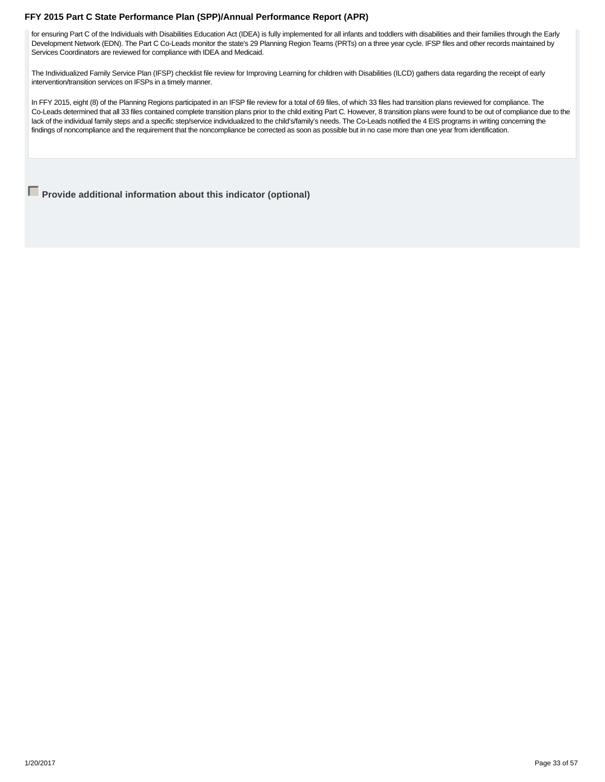for ensuring Part C of the Individuals with Disabilities Education Act (IDEA) is fully implemented for all infants and toddlers with disabilities and their families through the Early Development Network (EDN). The Part C Co-Leads monitor the state's 29 Planning Region Teams (PRTs) on a three year cycle. IFSP files and other records maintained by Services Coordinators are reviewed for compliance with IDEA and Medicaid.

The Individualized Family Service Plan (IFSP) checklist file review for Improving Learning for children with Disabilities (ILCD) gathers data regarding the receipt of early intervention/transition services on IFSPs in a timely manner.

In FFY 2015, eight (8) of the Planning Regions participated in an IFSP file review for a total of 69 files, of which 33 files had transition plans reviewed for compliance. The Co-Leads determined that all 33 files contained complete transition plans prior to the child exiting Part C. However, 8 transition plans were found to be out of compliance due to the lack of the individual family steps and a specific step/service individualized to the child's/family's needs. The Co-Leads notified the 4 EIS programs in writing concerning the findings of noncompliance and the requirement that the noncompliance be corrected as soon as possible but in no case more than one year from identification.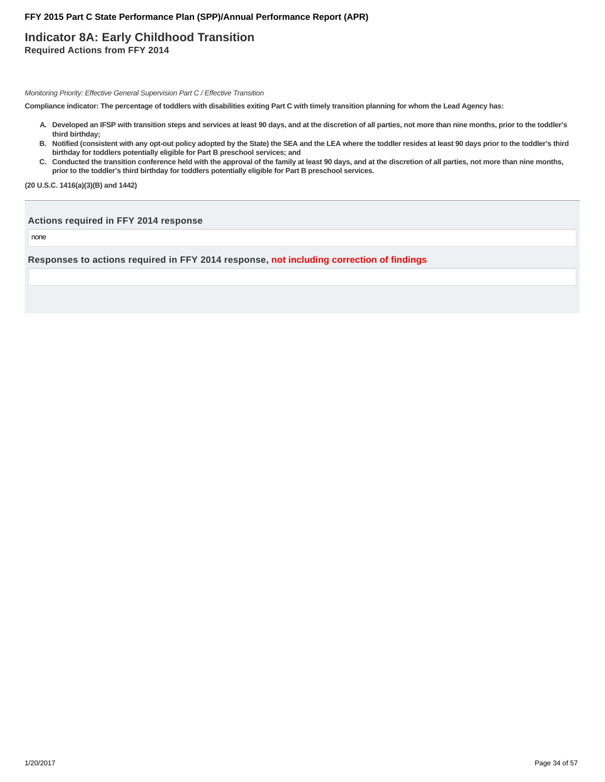### **Indicator 8A: Early Childhood Transition Required Actions from FFY 2014**

Monitoring Priority: Effective General Supervision Part C / Effective Transition

**Compliance indicator: The percentage of toddlers with disabilities exiting Part C with timely transition planning for whom the Lead Agency has:**

- **Developed an IFSP with transition steps and services at least 90 days, and at the discretion of all parties, not more than nine months, prior to the toddler's A. third birthday;**
- **Notified (consistent with any opt-out policy adopted by the State) the SEA and the LEA where the toddler resides at least 90 days prior to the toddler's third B. birthday for toddlers potentially eligible for Part B preschool services; and**
- C. Conducted the transition conference held with the approval of the family at least 90 days, and at the discretion of all parties, not more than nine months, **prior to the toddler's third birthday for toddlers potentially eligible for Part B preschool services.**

**(20 U.S.C. 1416(a)(3)(B) and 1442)**

#### **Actions required in FFY 2014 response**

none

**Responses to actions required in FFY 2014 response, not including correction of findings**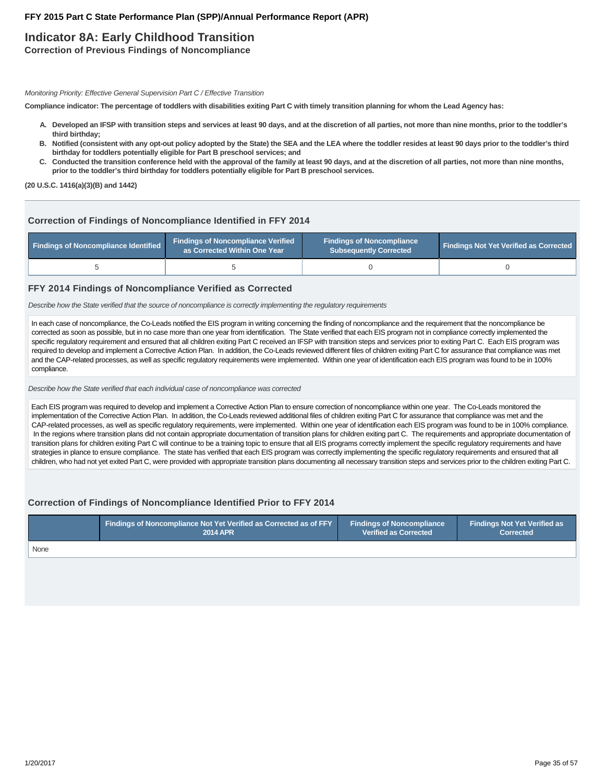## **Indicator 8A: Early Childhood Transition**

**Correction of Previous Findings of Noncompliance**

Monitoring Priority: Effective General Supervision Part C / Effective Transition

**Compliance indicator: The percentage of toddlers with disabilities exiting Part C with timely transition planning for whom the Lead Agency has:**

- **Developed an IFSP with transition steps and services at least 90 days, and at the discretion of all parties, not more than nine months, prior to the toddler's A. third birthday;**
- **Notified (consistent with any opt-out policy adopted by the State) the SEA and the LEA where the toddler resides at least 90 days prior to the toddler's third B. birthday for toddlers potentially eligible for Part B preschool services; and**
- C. Conducted the transition conference held with the approval of the family at least 90 days, and at the discretion of all parties, not more than nine months, **prior to the toddler's third birthday for toddlers potentially eligible for Part B preschool services.**

**(20 U.S.C. 1416(a)(3)(B) and 1442)**

### **Correction of Findings of Noncompliance Identified in FFY 2014**

| Findings of Noncompliance Identified | <b>Findings of Noncompliance Verified</b><br>as Corrected Within One Year | <b>Findings of Noncompliance</b><br><b>Subsequently Corrected</b> | <b>Findings Not Yet Verified as Corrected</b> |  |
|--------------------------------------|---------------------------------------------------------------------------|-------------------------------------------------------------------|-----------------------------------------------|--|
|                                      |                                                                           |                                                                   |                                               |  |

#### **FFY 2014 Findings of Noncompliance Verified as Corrected**

Describe how the State verified that the source of noncompliance is correctly implementing the regulatory requirements

In each case of noncompliance, the Co-Leads notified the EIS program in writing concerning the finding of noncompliance and the requirement that the noncompliance be corrected as soon as possible, but in no case more than one year from identification. The State verified that each EIS program not in compliance correctly implemented the specific regulatory requirement and ensured that all children exiting Part C received an IFSP with transition steps and services prior to exiting Part C. Each EIS program was required to develop and implement a Corrective Action Plan. In addition, the Co-Leads reviewed different files of children exiting Part C for assurance that compliance was met and the CAP-related processes, as well as specific regulatory requirements were implemented. Within one year of identification each EIS program was found to be in 100% compliance.

Describe how the State verified that each individual case of noncompliance was corrected

Each EIS program was required to develop and implement a Corrective Action Plan to ensure correction of noncompliance within one year. The Co-Leads monitored the implementation of the Corrective Action Plan. In addition, the Co-Leads reviewed additional files of children exiting Part C for assurance that compliance was met and the CAP-related processes, as well as specific regulatory requirements, were implemented. Within one year of identification each EIS program was found to be in 100% compliance. In the regions where transition plans did not contain appropriate documentation of transition plans for children exiting part C. The requirements and appropriate documentation of transition plans for children exiting Part C will continue to be a training topic to ensure that all EIS programs correctly implement the specific regulatory requirements and have strategies in plance to ensure compliance. The state has verified that each EIS program was correctly implementing the specific regulatory requirements and ensured that all children, who had not yet exited Part C, were provided with appropriate transition plans documenting all necessary transition steps and services prior to the children exiting Part C.

#### **Correction of Findings of Noncompliance Identified Prior to FFY 2014**

|      | $\,$ Findings of Noncompliance Not Yet Verified as Corrected as of FFY $\,$ $\,$ | <b>Findings of Noncompliance</b> | Findings Not Yet Verified as |  |
|------|----------------------------------------------------------------------------------|----------------------------------|------------------------------|--|
|      | <b>2014 APR</b>                                                                  | <b>Verified as Corrected</b>     | <b>Corrected</b>             |  |
| None |                                                                                  |                                  |                              |  |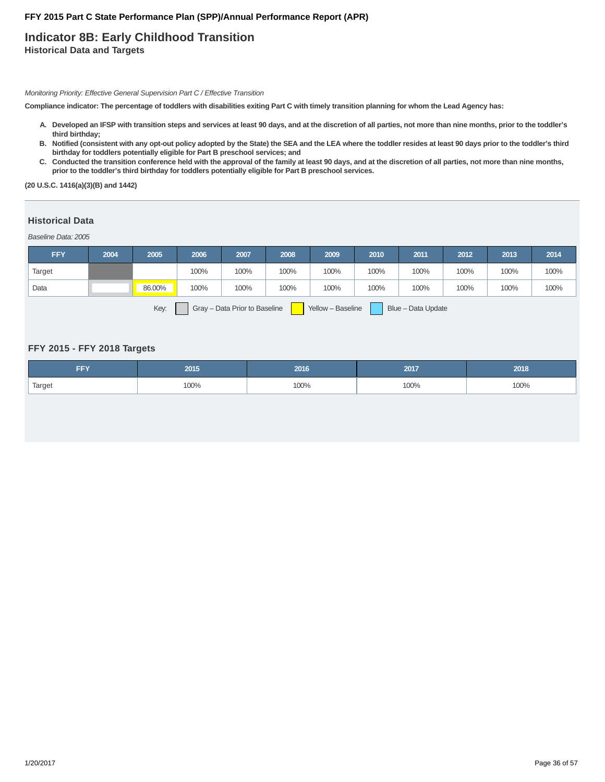### **Indicator 8B: Early Childhood Transition Historical Data and Targets**

Monitoring Priority: Effective General Supervision Part C / Effective Transition

**Compliance indicator: The percentage of toddlers with disabilities exiting Part C with timely transition planning for whom the Lead Agency has:**

- **Developed an IFSP with transition steps and services at least 90 days, and at the discretion of all parties, not more than nine months, prior to the toddler's A. third birthday;**
- **Notified (consistent with any opt-out policy adopted by the State) the SEA and the LEA where the toddler resides at least 90 days prior to the toddler's third B. birthday for toddlers potentially eligible for Part B preschool services; and**
- C. Conducted the transition conference held with the approval of the family at least 90 days, and at the discretion of all parties, not more than nine months, **prior to the toddler's third birthday for toddlers potentially eligible for Part B preschool services.**

**(20 U.S.C. 1416(a)(3)(B) and 1442)**

#### **Historical Data**

Baseline Data: 2005

| <b>FFY</b> | 2004 | 2005   | 2006 | 2007                                                                                                            | 2008 | 2009 | 2010 | 2011                              | 2012 | 2013 | 2014 |
|------------|------|--------|------|-----------------------------------------------------------------------------------------------------------------|------|------|------|-----------------------------------|------|------|------|
| Target     |      |        | 100% | 100%                                                                                                            | 100% | 100% | 100% | 100%                              | 100% | 100% | 100% |
| Data       |      | 86.00% | 100% | 100%                                                                                                            | 100% | 100% | 100% | 100%                              | 100% | 100% | 100% |
|            |      |        |      | the contract of the contract of the contract of the contract of the contract of the contract of the contract of |      | .    | -    | <b>Contract Contract Contract</b> |      |      |      |

Key: Gray – Data Prior to Baseline Yellow – Baseline Blue – Data Update

#### **FFY 2015 - FFY 2018 Targets**

| <b>CONTINUES</b> | 2015 | 2016 | 2017 | 2018 |
|------------------|------|------|------|------|
| Target           | 100% | 100% | 100% | 100% |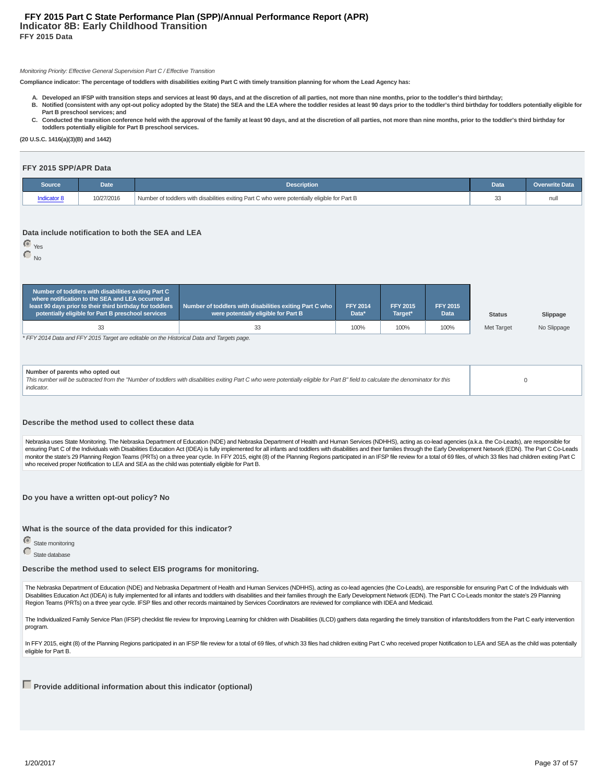#### **Indicator 8B: Early Childhood Transition FFY 2015 Data FFY 2015 Part C State Performance Plan (SPP)/Annual Performance Report (APR)**

#### Monitoring Priority: Effective General Supervision Part C / Effective Transition

**Compliance indicator: The percentage of toddlers with disabilities exiting Part C with timely transition planning for whom the Lead Agency has:**

- **A. Developed an IFSP with transition steps and services at least 90 days, and at the discretion of all parties, not more than nine months, prior to the toddler's third birthday; Notified (consistent with any opt-out policy adopted by the State) the SEA and the LEA where the toddler resides at least 90 days prior to the toddler's third birthday for toddlers potentially eligible for B. Part B preschool services; and**
- C. Conducted the transition conference held with the approval of the family at least 90 days, and at the discretion of all parties, not more than nine months, prior to the toddler's third birthday for **toddlers potentially eligible for Part B preschool services.**

**(20 U.S.C. 1416(a)(3)(B) and 1442)**

#### **FFY 2015 SPP/APR Data**

| Source      | Date       | <b>Description</b>                                                                           |   | <b>Overwrite Data</b> |
|-------------|------------|----------------------------------------------------------------------------------------------|---|-----------------------|
| indicator 8 | 10/27/2016 | Number of toddlers with disabilities exiting Part C who were potentially eligible for Part B | ື | nu                    |

#### **Data include notification to both the SEA and LEA**

Yes

| N٥ |
|----|
|    |

|                                                                                                                                                                                                                                     | Number of toddlers with disabilities exiting Part C<br>where notification to the SEA and LEA occurred at<br>least 90 days prior to their third birthday for toddlers<br>potentially eligible for Part B preschool services | Number of toddlers with disabilities exiting Part C who<br>were potentially eligible for Part B | <b>FFY 2014</b><br>Data* | <b>FFY 2015</b><br>Target* | <b>FFY 2015</b><br><b>Data</b> | <b>Status</b>     | Slippage    |
|-------------------------------------------------------------------------------------------------------------------------------------------------------------------------------------------------------------------------------------|----------------------------------------------------------------------------------------------------------------------------------------------------------------------------------------------------------------------------|-------------------------------------------------------------------------------------------------|--------------------------|----------------------------|--------------------------------|-------------------|-------------|
|                                                                                                                                                                                                                                     | 33                                                                                                                                                                                                                         | 33                                                                                              | 100%                     | 100%                       | 100%                           | <b>Met Target</b> | No Slippage |
|                                                                                                                                                                                                                                     | * FFY 2014 Data and FFY 2015 Target are editable on the Historical Data and Targets page.                                                                                                                                  |                                                                                                 |                          |                            |                                |                   |             |
| Number of parents who opted out<br>This number will be subtracted from the "Number of toddlers with disabilities exiting Part C who were potentially eligible for Part B" field to calculate the denominator for this<br>indicator. |                                                                                                                                                                                                                            |                                                                                                 |                          |                            |                                |                   | $\Omega$    |

#### **Describe the method used to collect these data**

Nebraska uses State Monitoring. The Nebraska Department of Education (NDE) and Nebraska Department of Health and Human Services (NDHHS), acting as co-lead agencies (a.k.a. the Co-Leads), are responsible for ensuring Part C of the Individuals with Disabilities Education Act (IDEA) is fully implemented for all infants and toddlers with disabilities and their families through the Early Development Network (EDN). The Part C Co-Le monitor the state's 29 Planning Region Teams (PRTs) on a three year cycle. In FFY 2015, eight (8) of the Planning Regions participated in an IFSP file review for a total of 69 files, of which 33 files had children exiting who received proper Notification to LEA and SEA as the child was potentially eligible for Part B.

**Do you have a written opt-out policy? No**

**What is the source of the data provided for this indicator?**

**State monitoring** 

State database

**Describe the method used to select EIS programs for monitoring.**

The Nebraska Department of Education (NDE) and Nebraska Department of Health and Human Services (NDHHS), acting as co-lead agencies (the Co-Leads), are responsible for ensuring Part C of the Individuals with Disabilities Education Act (IDEA) is fully implemented for all infants and toddlers with disabilities and their families through the Early Development Network (EDN). The Part C Co-Leads monitor the state's 29 Planning Region Teams (PRTs) on a three year cycle. IFSP files and other records maintained by Services Coordinators are reviewed for compliance with IDEA and Medicaid.

The Individualized Family Service Plan (IFSP) checklist file review for Improving Learning for children with Disabilities (ILCD) gathers data regarding the timely transition of infants/toddlers from the Part C early interv program.

In FFY 2015, eight (8) of the Planning Regions participated in an IFSP file review for a total of 69 files, of which 33 files had children exiting Part C who received proper Notification to LEA and SEA as the child was pot eligible for Part B.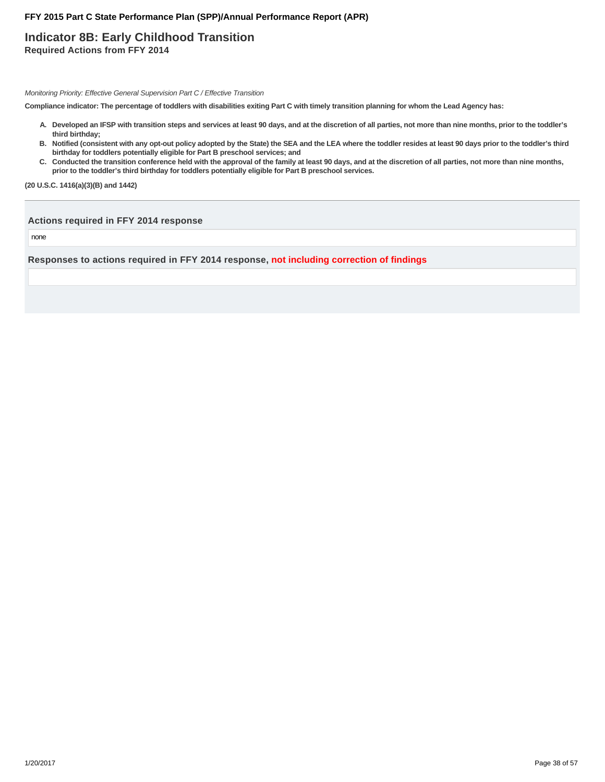### **Indicator 8B: Early Childhood Transition Required Actions from FFY 2014**

Monitoring Priority: Effective General Supervision Part C / Effective Transition

**Compliance indicator: The percentage of toddlers with disabilities exiting Part C with timely transition planning for whom the Lead Agency has:**

- **Developed an IFSP with transition steps and services at least 90 days, and at the discretion of all parties, not more than nine months, prior to the toddler's A. third birthday;**
- **Notified (consistent with any opt-out policy adopted by the State) the SEA and the LEA where the toddler resides at least 90 days prior to the toddler's third B. birthday for toddlers potentially eligible for Part B preschool services; and**
- C. Conducted the transition conference held with the approval of the family at least 90 days, and at the discretion of all parties, not more than nine months, **prior to the toddler's third birthday for toddlers potentially eligible for Part B preschool services.**

**(20 U.S.C. 1416(a)(3)(B) and 1442)**

#### **Actions required in FFY 2014 response**

none

**Responses to actions required in FFY 2014 response, not including correction of findings**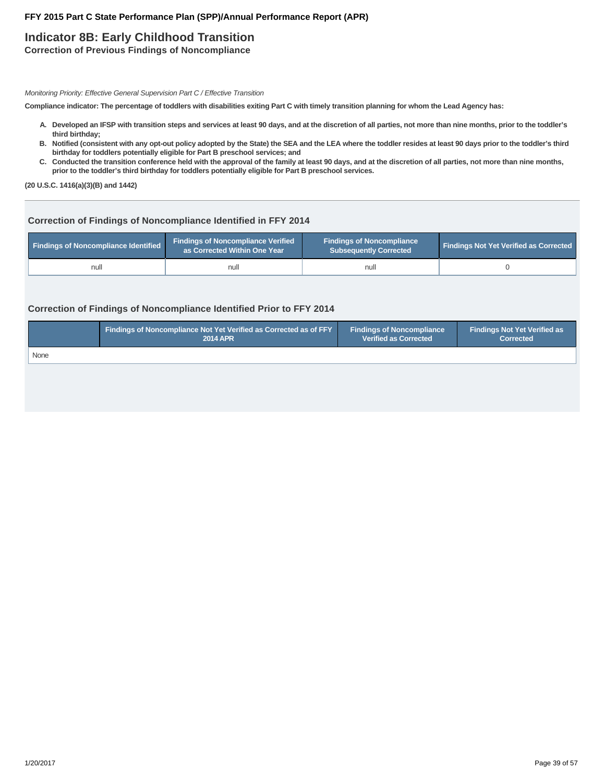## **Indicator 8B: Early Childhood Transition**

**Correction of Previous Findings of Noncompliance**

Monitoring Priority: Effective General Supervision Part C / Effective Transition

**Compliance indicator: The percentage of toddlers with disabilities exiting Part C with timely transition planning for whom the Lead Agency has:**

- **Developed an IFSP with transition steps and services at least 90 days, and at the discretion of all parties, not more than nine months, prior to the toddler's A. third birthday;**
- **Notified (consistent with any opt-out policy adopted by the State) the SEA and the LEA where the toddler resides at least 90 days prior to the toddler's third B. birthday for toddlers potentially eligible for Part B preschool services; and**
- C. Conducted the transition conference held with the approval of the family at least 90 days, and at the discretion of all parties, not more than nine months, **prior to the toddler's third birthday for toddlers potentially eligible for Part B preschool services.**

**(20 U.S.C. 1416(a)(3)(B) and 1442)**

### **Correction of Findings of Noncompliance Identified in FFY 2014**

| <b>Findings of Noncompliance Identified</b> | <b>Findings of Noncompliance Verified</b><br>as Corrected Within One Year | <b>Findings of Noncompliance</b><br><b>Subsequently Corrected</b> | <b>Findings Not Yet Verified as Corrected</b> |
|---------------------------------------------|---------------------------------------------------------------------------|-------------------------------------------------------------------|-----------------------------------------------|
| null                                        | null                                                                      | null                                                              |                                               |

### **Correction of Findings of Noncompliance Identified Prior to FFY 2014**

|      | <b>Findings of Noncompliance Not Yet Verified as Corrected as of FFY</b> | <b>Findings of Noncompliance</b> | <b>Findings Not Yet Verified as</b> |
|------|--------------------------------------------------------------------------|----------------------------------|-------------------------------------|
|      | <b>2014 APR</b>                                                          | <b>Verified as Corrected</b>     | <b>Corrected</b>                    |
| None |                                                                          |                                  |                                     |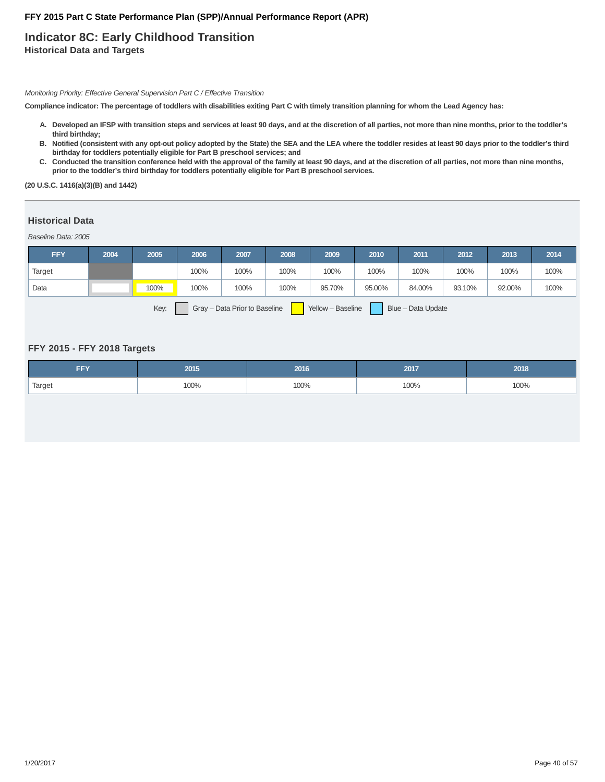### **Indicator 8C: Early Childhood Transition Historical Data and Targets**

Monitoring Priority: Effective General Supervision Part C / Effective Transition

**Compliance indicator: The percentage of toddlers with disabilities exiting Part C with timely transition planning for whom the Lead Agency has:**

- **Developed an IFSP with transition steps and services at least 90 days, and at the discretion of all parties, not more than nine months, prior to the toddler's A. third birthday;**
- **Notified (consistent with any opt-out policy adopted by the State) the SEA and the LEA where the toddler resides at least 90 days prior to the toddler's third B. birthday for toddlers potentially eligible for Part B preschool services; and**
- C. Conducted the transition conference held with the approval of the family at least 90 days, and at the discretion of all parties, not more than nine months, **prior to the toddler's third birthday for toddlers potentially eligible for Part B preschool services.**

**(20 U.S.C. 1416(a)(3)(B) and 1442)**

#### **Historical Data**

Baseline Data: 2005

| <b>FFY</b> | 2004 | 2005 | 2006 | 2007 | 2008 | 2009   | 2010   | 2011   | 2012   | 2013   | 2014 |
|------------|------|------|------|------|------|--------|--------|--------|--------|--------|------|
| Target     |      |      | 100% | 100% | 100% | 100%   | 100%   | 100%   | 100%   | 100%   | 100% |
| Data       |      | 100% | 100% | 100% | 100% | 95.70% | 95.00% | 84.00% | 93.10% | 92.00% | 100% |
|            |      |      |      |      |      |        |        |        |        |        |      |

Key: Gray – Data Prior to Baseline Yellow – Baseline Blue – Data Update

#### **FFY 2015 - FFY 2018 Targets**

| <b>CONTINUES</b> | 2015 | 2016 | 2017 |      |
|------------------|------|------|------|------|
| Target           | 100% | 100% | 100% | 100% |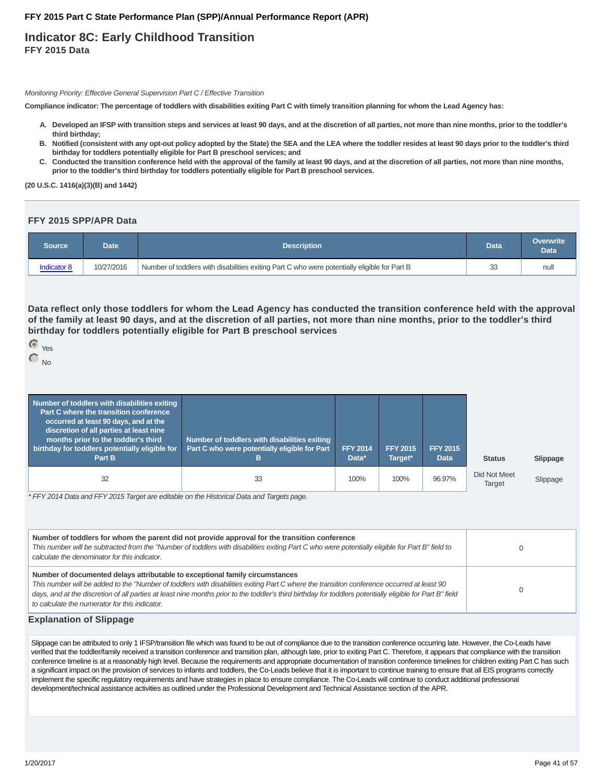### **Indicator 8C: Early Childhood Transition FFY 2015 Data**

Monitoring Priority: Effective General Supervision Part C / Effective Transition

**Compliance indicator: The percentage of toddlers with disabilities exiting Part C with timely transition planning for whom the Lead Agency has:**

- **Developed an IFSP with transition steps and services at least 90 days, and at the discretion of all parties, not more than nine months, prior to the toddler's A. third birthday;**
- **Notified (consistent with any opt-out policy adopted by the State) the SEA and the LEA where the toddler resides at least 90 days prior to the toddler's third B. birthday for toddlers potentially eligible for Part B preschool services; and**
- C. Conducted the transition conference held with the approval of the family at least 90 days, and at the discretion of all parties, not more than nine months, **prior to the toddler's third birthday for toddlers potentially eligible for Part B preschool services.**

**(20 U.S.C. 1416(a)(3)(B) and 1442)**

#### **FFY 2015 SPP/APR Data**

| Source      | Date       | <b>Description</b>                                                                           |    | Overwrite<br><b>Data</b> |
|-------------|------------|----------------------------------------------------------------------------------------------|----|--------------------------|
| Indicator 8 | 10/27/2016 | Number of toddlers with disabilities exiting Part C who were potentially eligible for Part B | 33 | null                     |

**Data reflect only those toddlers for whom the Lead Agency has conducted the transition conference held with the approval of the family at least 90 days, and at the discretion of all parties, not more than nine months, prior to the toddler's third birthday for toddlers potentially eligible for Part B preschool services**

| Yes |
|-----|
|     |

No

| Number of toddlers with disabilities exiting<br>Part C where the transition conference<br>occurred at least 90 days, and at the<br>discretion of all parties at least nine<br>months prior to the toddler's third<br>birthday for toddlers potentially eligible for<br>Part B | Number of toddlers with disabilities exiting<br>Part C who were potentially eligible for Part<br>в | <b>FFY 2014</b><br>Data* | <b>FFY 2015</b><br>Target* | <b>FFY 2015</b><br><b>Data</b> | <b>Status</b>                 |
|-------------------------------------------------------------------------------------------------------------------------------------------------------------------------------------------------------------------------------------------------------------------------------|----------------------------------------------------------------------------------------------------|--------------------------|----------------------------|--------------------------------|-------------------------------|
| 32                                                                                                                                                                                                                                                                            | 33                                                                                                 | 100%                     | 100%                       | 96.97%                         | Did Not Meet<br><b>Target</b> |

\* FFY 2014 Data and FFY 2015 Target are editable on the Historical Data and Targets page.

| Number of toddlers for whom the parent did not provide approval for the transition conference<br>This number will be subtracted from the "Number of toddlers with disabilities exiting Part C who were potentially eligible for Part B" field to<br>calculate the denominator for this indicator.                                                                                                                                         |  |
|-------------------------------------------------------------------------------------------------------------------------------------------------------------------------------------------------------------------------------------------------------------------------------------------------------------------------------------------------------------------------------------------------------------------------------------------|--|
| Number of documented delays attributable to exceptional family circumstances<br>This number will be added to the "Number of toddlers with disabilities exiting Part C where the transition conference occurred at least 90<br>days, and at the discretion of all parties at least nine months prior to the toddler's third birthday for toddlers potentially eligible for Part B" field<br>to calculate the numerator for this indicator. |  |

#### **Explanation of Slippage**

Slippage can be attributed to only 1 IFSP/transition file which was found to be out of compliance due to the transition conference occurring late. However, the Co-Leads have verified that the toddler/family received a transition conference and transition plan, although late, prior to exiting Part C. Therefore, it appears that compliance with the transition conference timeline is at a reasonably high level. Because the requirements and appropriate documentation of transition conference timelines for children exiting Part C has such a significant impact on the provision of services to infants and toddlers, the Co-Leads believe that it is important to continue training to ensure that all EIS programs correctly implement the specific regulatory requirements and have strategies in place to ensure compliance. The Co-Leads will continue to conduct additional professional development/technical assistance activities as outlined under the Professional Development and Technical Assistance section of the APR.

 $S$ *Slippage* 

Slippage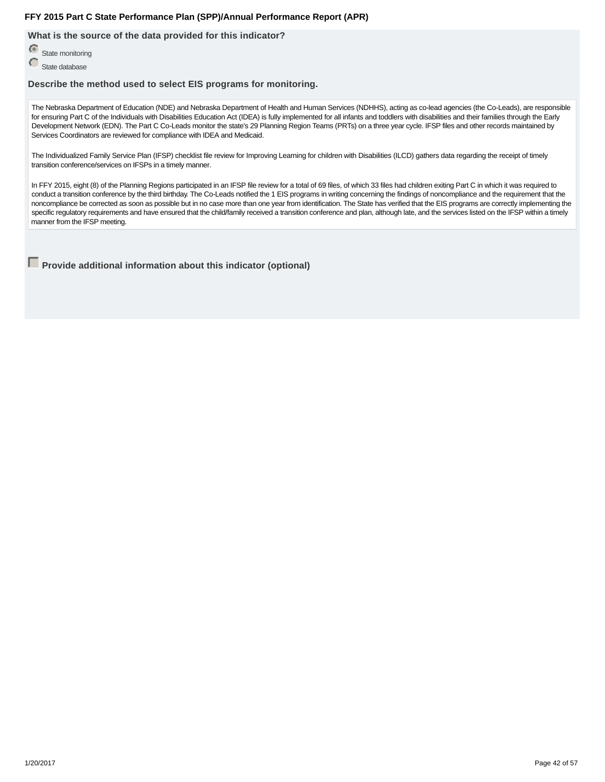**What is the source of the data provided for this indicator?**

State monitoring

State database

**Describe the method used to select EIS programs for monitoring.**

The Nebraska Department of Education (NDE) and Nebraska Department of Health and Human Services (NDHHS), acting as co-lead agencies (the Co-Leads), are responsible for ensuring Part C of the Individuals with Disabilities Education Act (IDEA) is fully implemented for all infants and toddlers with disabilities and their families through the Early Development Network (EDN). The Part C Co-Leads monitor the state's 29 Planning Region Teams (PRTs) on a three year cycle. IFSP files and other records maintained by Services Coordinators are reviewed for compliance with IDEA and Medicaid.

The Individualized Family Service Plan (IFSP) checklist file review for Improving Learning for children with Disabilities (ILCD) gathers data regarding the receipt of timely transition conference/services on IFSPs in a timely manner.

In FFY 2015, eight (8) of the Planning Regions participated in an IFSP file review for a total of 69 files, of which 33 files had children exiting Part C in which it was required to conduct a transition conference by the third birthday. The Co-Leads notified the 1 EIS programs in writing concerning the findings of noncompliance and the requirement that the noncompliance be corrected as soon as possible but in no case more than one year from identification. The State has verified that the EIS programs are correctly implementing the specific regulatory requirements and have ensured that the child/family received a transition conference and plan, although late, and the services listed on the IFSP within a timely manner from the IFSP meeting.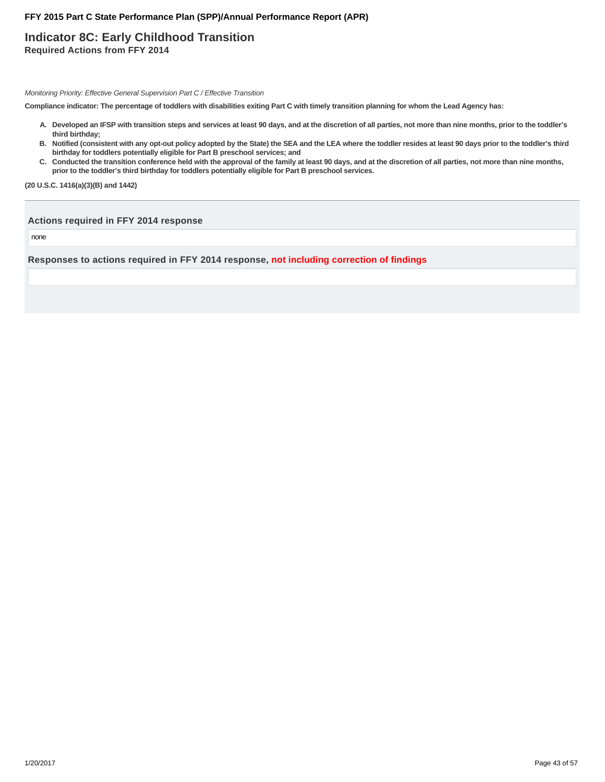### **Indicator 8C: Early Childhood Transition Required Actions from FFY 2014**

Monitoring Priority: Effective General Supervision Part C / Effective Transition

**Compliance indicator: The percentage of toddlers with disabilities exiting Part C with timely transition planning for whom the Lead Agency has:**

- **Developed an IFSP with transition steps and services at least 90 days, and at the discretion of all parties, not more than nine months, prior to the toddler's A. third birthday;**
- **Notified (consistent with any opt-out policy adopted by the State) the SEA and the LEA where the toddler resides at least 90 days prior to the toddler's third B. birthday for toddlers potentially eligible for Part B preschool services; and**
- C. Conducted the transition conference held with the approval of the family at least 90 days, and at the discretion of all parties, not more than nine months, **prior to the toddler's third birthday for toddlers potentially eligible for Part B preschool services.**

**(20 U.S.C. 1416(a)(3)(B) and 1442)**

#### **Actions required in FFY 2014 response**

none

**Responses to actions required in FFY 2014 response, not including correction of findings**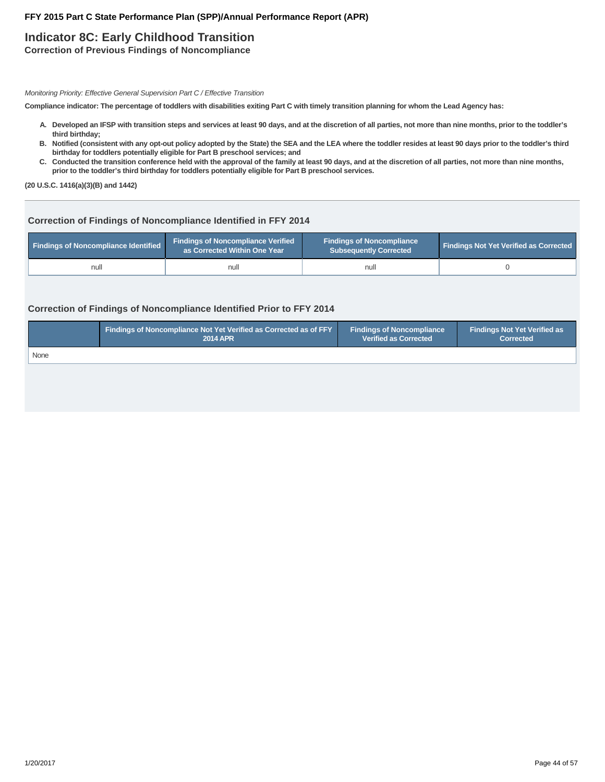## **Indicator 8C: Early Childhood Transition**

**Correction of Previous Findings of Noncompliance**

Monitoring Priority: Effective General Supervision Part C / Effective Transition

**Compliance indicator: The percentage of toddlers with disabilities exiting Part C with timely transition planning for whom the Lead Agency has:**

- **Developed an IFSP with transition steps and services at least 90 days, and at the discretion of all parties, not more than nine months, prior to the toddler's A. third birthday;**
- **Notified (consistent with any opt-out policy adopted by the State) the SEA and the LEA where the toddler resides at least 90 days prior to the toddler's third B. birthday for toddlers potentially eligible for Part B preschool services; and**
- C. Conducted the transition conference held with the approval of the family at least 90 days, and at the discretion of all parties, not more than nine months, **prior to the toddler's third birthday for toddlers potentially eligible for Part B preschool services.**

**(20 U.S.C. 1416(a)(3)(B) and 1442)**

#### **Correction of Findings of Noncompliance Identified in FFY 2014**

| Findings of Noncompliance Identified | <b>Findings of Noncompliance Verified</b><br>as Corrected Within One Year | <b>Findings of Noncompliance</b><br>Subsequently Corrected | <b>Findings Not Yet Verified as Corrected</b> |
|--------------------------------------|---------------------------------------------------------------------------|------------------------------------------------------------|-----------------------------------------------|
| null                                 | null                                                                      | nul                                                        |                                               |

#### **Correction of Findings of Noncompliance Identified Prior to FFY 2014**

|      | <b>Findings of Noncompliance Not Yet Verified as Corrected as of FFY</b> | <b>Findings of Noncompliance</b> | Findings Not Yet Verified as |
|------|--------------------------------------------------------------------------|----------------------------------|------------------------------|
|      | <b>2014 APR</b>                                                          | <b>Verified as Corrected</b>     | <b>Corrected</b>             |
| None |                                                                          |                                  |                              |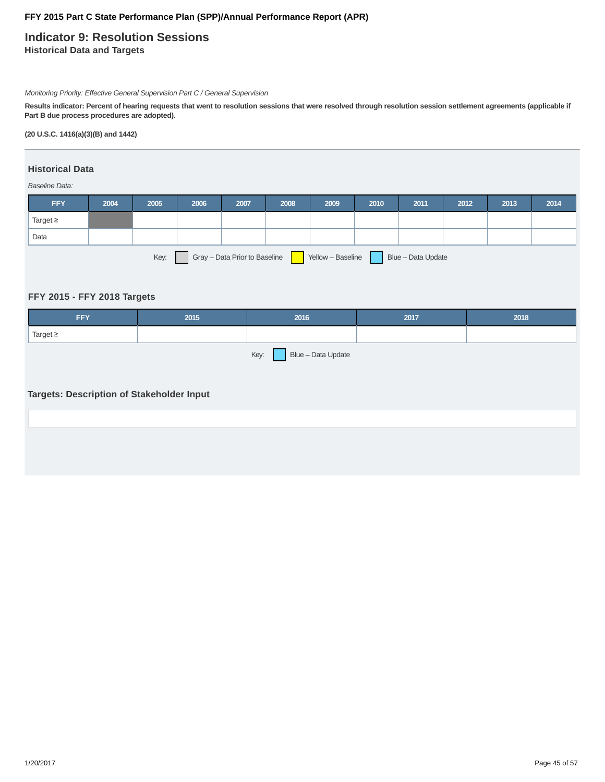### **Indicator 9: Resolution Sessions Historical Data and Targets**

Monitoring Priority: Effective General Supervision Part C / General Supervision

**Results indicator: Percent of hearing requests that went to resolution sessions that were resolved through resolution session settlement agreements (applicable if Part B due process procedures are adopted).**

**(20 U.S.C. 1416(a)(3)(B) and 1442)**

### **Historical Data**

Baseline Data:

| <b>FFY</b>                                                                       | 2004 | 2005 | 2006 | 2007 | 2008 | 2009 | 2010 | 2011 | 2012 | 2013 | 2014 |
|----------------------------------------------------------------------------------|------|------|------|------|------|------|------|------|------|------|------|
| Target $\geq$                                                                    |      |      |      |      |      |      |      |      |      |      |      |
| Data                                                                             |      |      |      |      |      |      |      |      |      |      |      |
| Gray - Data Prior to Baseline<br>Key:<br>Yellow - Baseline<br>Blue - Data Update |      |      |      |      |      |      |      |      |      |      |      |

### **FFY 2015 - FFY 2018 Targets**

| <b>FFY</b>              | 2015 | 2016 | 2017 | 2018 |  |
|-------------------------|------|------|------|------|--|
| Target $\geq$           |      |      |      |      |  |
| Key: Blue - Data Update |      |      |      |      |  |

### **Targets: Description of Stakeholder Input**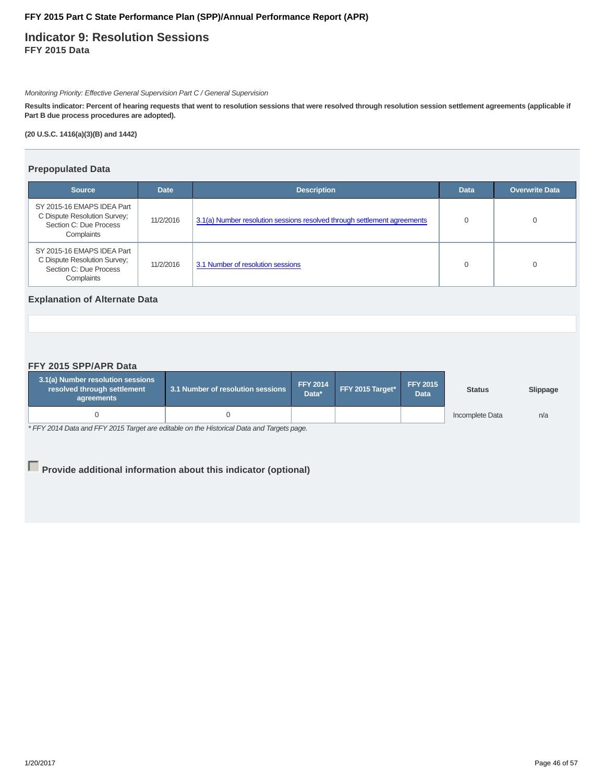### **Indicator 9: Resolution Sessions FFY 2015 Data**

Monitoring Priority: Effective General Supervision Part C / General Supervision

**Results indicator: Percent of hearing requests that went to resolution sessions that were resolved through resolution session settlement agreements (applicable if Part B due process procedures are adopted).**

**(20 U.S.C. 1416(a)(3)(B) and 1442)**

#### **Prepopulated Data**

| <b>Source</b>                                                                                      | <b>Date</b> | <b>Description</b>                                                       | <b>Data</b> | <b>Overwrite Data</b> |
|----------------------------------------------------------------------------------------------------|-------------|--------------------------------------------------------------------------|-------------|-----------------------|
| SY 2015-16 EMAPS IDEA Part<br>C Dispute Resolution Survey;<br>Section C: Due Process<br>Complaints | 11/2/2016   | 3.1(a) Number resolution sessions resolved through settlement agreements |             |                       |
| SY 2015-16 EMAPS IDEA Part<br>C Dispute Resolution Survey;<br>Section C: Due Process<br>Complaints | 11/2/2016   | 3.1 Number of resolution sessions                                        | 0           |                       |

### **Explanation of Alternate Data**

#### **FFY 2015 SPP/APR Data**

| 3.1(a) Number resolution sessions<br>resolved through settlement<br>agreements | 3.1 Number of resolution sessions |  | FFY 2015 Target* | <b>FFY 2015</b><br><b>Data</b> | <b>Status</b>   | Slippage |
|--------------------------------------------------------------------------------|-----------------------------------|--|------------------|--------------------------------|-----------------|----------|
|                                                                                |                                   |  |                  |                                | Incomplete Data | n/a      |

\* FFY 2014 Data and FFY 2015 Target are editable on the Historical Data and Targets page.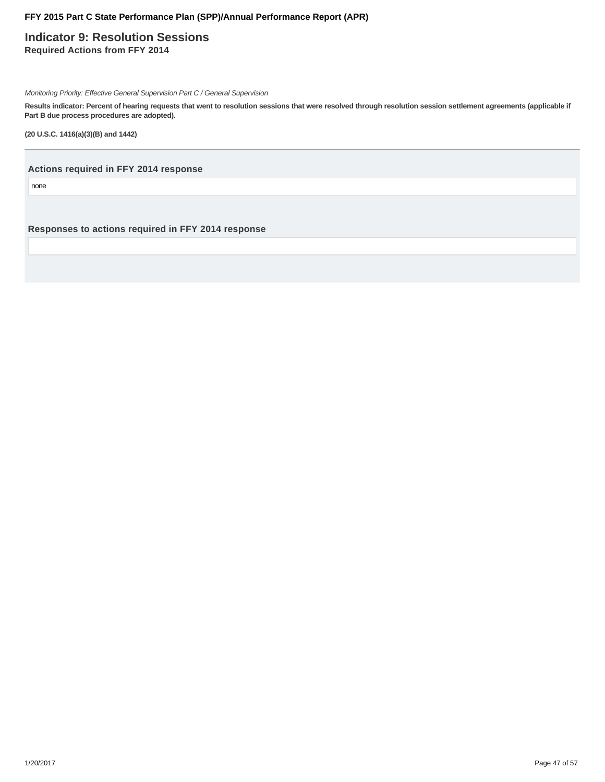**Indicator 9: Resolution Sessions Required Actions from FFY 2014**

Monitoring Priority: Effective General Supervision Part C / General Supervision

**Results indicator: Percent of hearing requests that went to resolution sessions that were resolved through resolution session settlement agreements (applicable if Part B due process procedures are adopted).**

**(20 U.S.C. 1416(a)(3)(B) and 1442)**

**Actions required in FFY 2014 response**

none

**Responses to actions required in FFY 2014 response**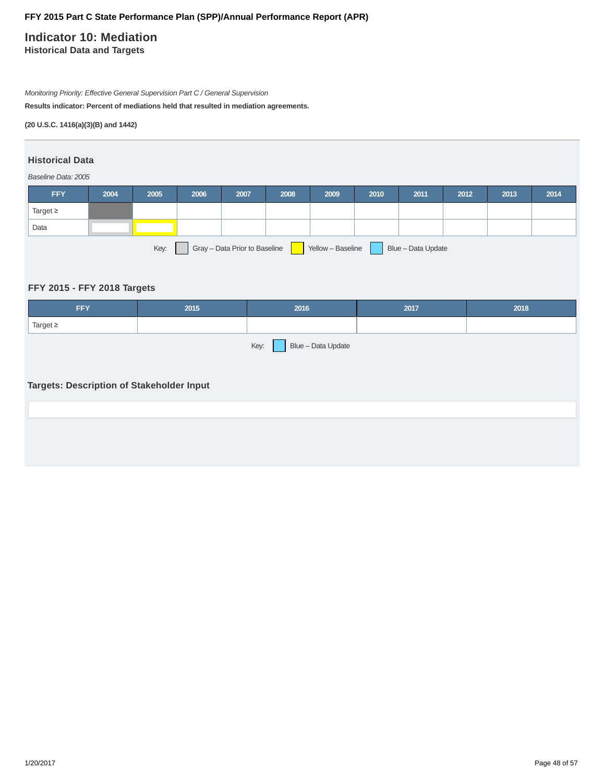# **Indicator 10: Mediation**

**Historical Data and Targets**

Monitoring Priority: Effective General Supervision Part C / General Supervision

**Results indicator: Percent of mediations held that resulted in mediation agreements.**

**(20 U.S.C. 1416(a)(3)(B) and 1442)**

### **Historical Data**

#### Baseline Data: 2005

| <b>FFY</b>                                                                       | 2004 | 2005 | 2006 | 2007 | 2008 | 2009 | 2010 | 2011 | 2012 | 2013 | 2014 |
|----------------------------------------------------------------------------------|------|------|------|------|------|------|------|------|------|------|------|
| Target $\geq$                                                                    |      |      |      |      |      |      |      |      |      |      |      |
| Data                                                                             |      |      |      |      |      |      |      |      |      |      |      |
| Key:<br>Gray - Data Prior to Baseline<br>Yellow - Baseline<br>Blue - Data Update |      |      |      |      |      |      |      |      |      |      |      |

### **FFY 2015 - FFY 2018 Targets**

| <b>FFY</b>                                | 2015 | 2016 | 2017 | 2018 |  |  |  |
|-------------------------------------------|------|------|------|------|--|--|--|
| Target $\geq$                             |      |      |      |      |  |  |  |
| Key: Blue – Data Update                   |      |      |      |      |  |  |  |
|                                           |      |      |      |      |  |  |  |
| Targets: Description of Stakeholder Input |      |      |      |      |  |  |  |
|                                           |      |      |      |      |  |  |  |
|                                           |      |      |      |      |  |  |  |
|                                           |      |      |      |      |  |  |  |
|                                           |      |      |      |      |  |  |  |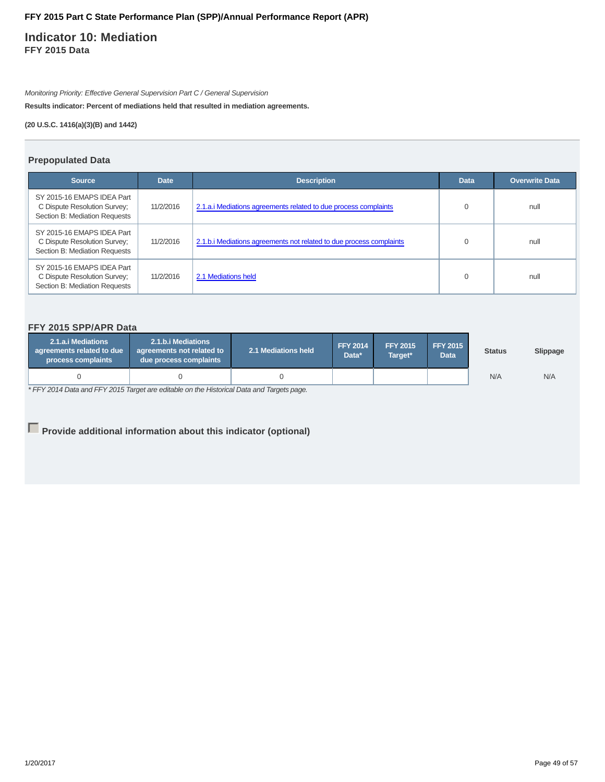### **Indicator 10: Mediation FFY 2015 Data**

Monitoring Priority: Effective General Supervision Part C / General Supervision

**Results indicator: Percent of mediations held that resulted in mediation agreements.**

**(20 U.S.C. 1416(a)(3)(B) and 1442)**

#### **Prepopulated Data**

| <b>Source</b>                                                                               | <b>Date</b> | <b>Description</b>                                                  | <b>Data</b> | <b>Overwrite Data</b> |
|---------------------------------------------------------------------------------------------|-------------|---------------------------------------------------------------------|-------------|-----------------------|
| SY 2015-16 EMAPS IDEA Part<br>C Dispute Resolution Survey;<br>Section B: Mediation Requests | 11/2/2016   | 2.1.a. iMediations agreements related to due process complaints     |             | null                  |
| SY 2015-16 EMAPS IDEA Part<br>C Dispute Resolution Survey;<br>Section B: Mediation Requests | 11/2/2016   | 2.1.b.i Mediations agreements not related to due process complaints | 0           | null                  |
| SY 2015-16 EMAPS IDEA Part<br>C Dispute Resolution Survey;<br>Section B: Mediation Requests | 11/2/2016   | 2.1 Mediations held                                                 |             | null                  |

### **FFY 2015 SPP/APR Data**

| 2.1.a.i Mediations<br>agreements related to due<br>process complaints | 2.1.b.i Mediations<br>agreements not related to<br>due process complaints | 2.1 Mediations held | <b>FFY 2014</b><br>Data* | <b>FFY 2015</b><br>Target* | <b>FFY 2015</b><br><b>Data</b> | <b>Status</b> | Slippage |
|-----------------------------------------------------------------------|---------------------------------------------------------------------------|---------------------|--------------------------|----------------------------|--------------------------------|---------------|----------|
|                                                                       |                                                                           |                     |                          |                            |                                | N/A           | N/A      |

\* FFY 2014 Data and FFY 2015 Target are editable on the Historical Data and Targets page.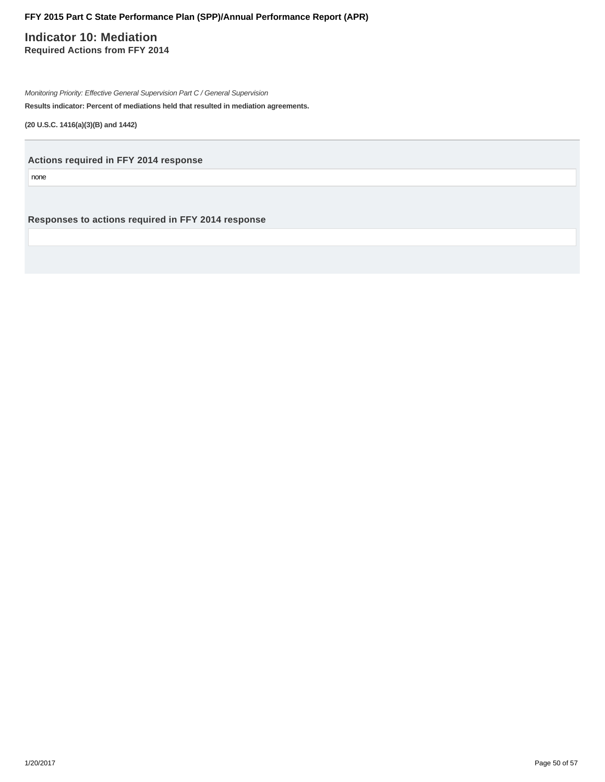### **Indicator 10: Mediation Required Actions from FFY 2014**

Monitoring Priority: Effective General Supervision Part C / General Supervision

**Results indicator: Percent of mediations held that resulted in mediation agreements.**

**(20 U.S.C. 1416(a)(3)(B) and 1442)**

**Actions required in FFY 2014 response**

none

**Responses to actions required in FFY 2014 response**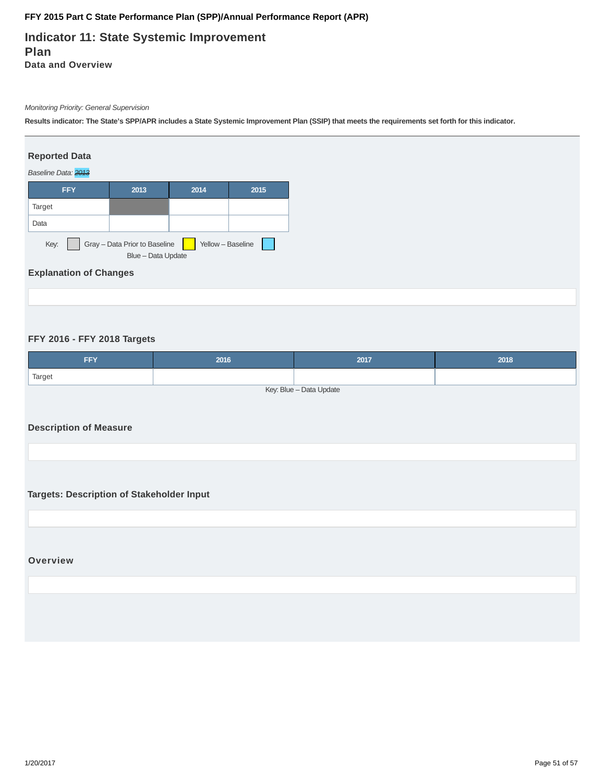### **Indicator 11: State Systemic Improvement Plan Data and Overview**

#### Monitoring Priority: General Supervision

**Results indicator: The State's SPP/APR includes a State Systemic Improvement Plan (SSIP) that meets the requirements set forth for this indicator.**

#### **Reported Data**



### **Explanation of Changes**

#### **FFY 2016 - FFY 2018 Targets**

| FFY                     | 2016 | 2017 | 2018 |  |  |  |
|-------------------------|------|------|------|--|--|--|
| Target                  |      |      |      |  |  |  |
| Key: Blue - Data Update |      |      |      |  |  |  |

#### **Description of Measure**

**Targets: Description of Stakeholder Input**

#### **Overview**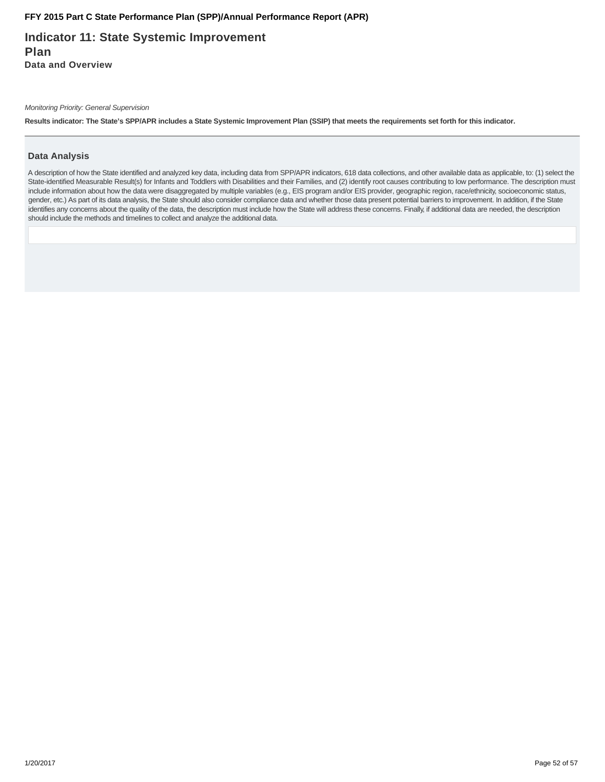**Indicator 11: State Systemic Improvement Plan Data and Overview**

Monitoring Priority: General Supervision

**Results indicator: The State's SPP/APR includes a State Systemic Improvement Plan (SSIP) that meets the requirements set forth for this indicator.**

#### **Data Analysis**

A description of how the State identified and analyzed key data, including data from SPP/APR indicators, 618 data collections, and other available data as applicable, to: (1) select the State-identified Measurable Result(s) for Infants and Toddlers with Disabilities and their Families, and (2) identify root causes contributing to low performance. The description must include information about how the data were disaggregated by multiple variables (e.g., EIS program and/or EIS provider, geographic region, race/ethnicity, socioeconomic status, gender, etc.) As part of its data analysis, the State should also consider compliance data and whether those data present potential barriers to improvement. In addition, if the State identifies any concerns about the quality of the data, the description must include how the State will address these concerns. Finally, if additional data are needed, the description should include the methods and timelines to collect and analyze the additional data.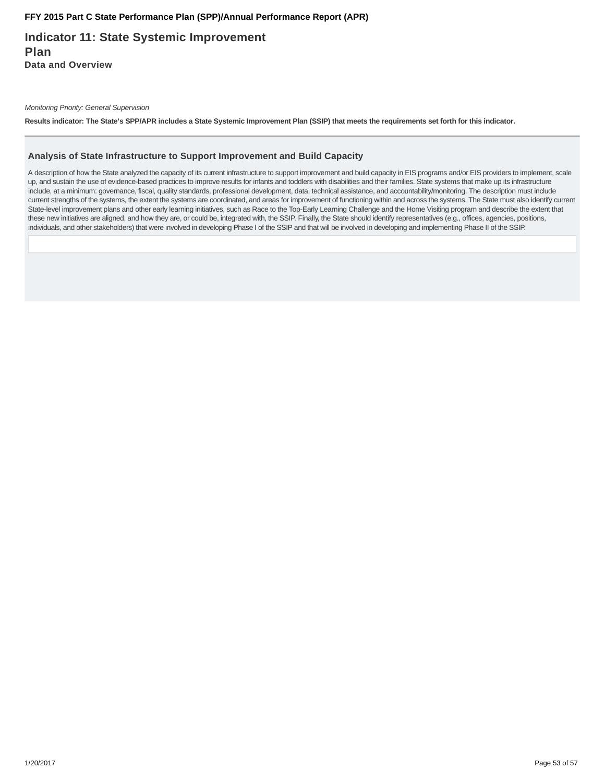### **Indicator 11: State Systemic Improvement Plan Data and Overview**

Monitoring Priority: General Supervision

**Results indicator: The State's SPP/APR includes a State Systemic Improvement Plan (SSIP) that meets the requirements set forth for this indicator.**

#### **Analysis of State Infrastructure to Support Improvement and Build Capacity**

A description of how the State analyzed the capacity of its current infrastructure to support improvement and build capacity in EIS programs and/or EIS providers to implement, scale up, and sustain the use of evidence-based practices to improve results for infants and toddlers with disabilities and their families. State systems that make up its infrastructure include, at a minimum: governance, fiscal, quality standards, professional development, data, technical assistance, and accountability/monitoring. The description must include current strengths of the systems, the extent the systems are coordinated, and areas for improvement of functioning within and across the systems. The State must also identify current State-level improvement plans and other early learning initiatives, such as Race to the Top-Early Learning Challenge and the Home Visiting program and describe the extent that these new initiatives are aligned, and how they are, or could be, integrated with, the SSIP. Finally, the State should identify representatives (e.g., offices, agencies, positions, individuals, and other stakeholders) that were involved in developing Phase I of the SSIP and that will be involved in developing and implementing Phase II of the SSIP.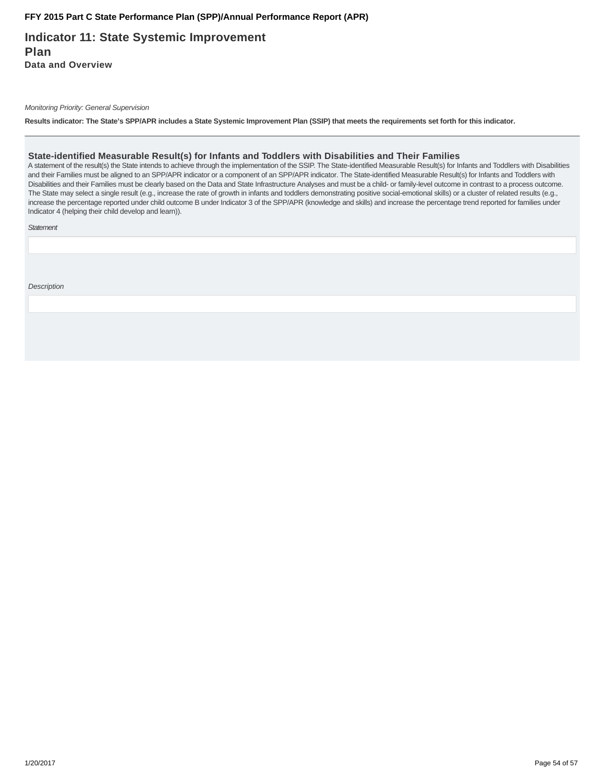### **Indicator 11: State Systemic Improvement Plan Data and Overview**

Monitoring Priority: General Supervision

**Results indicator: The State's SPP/APR includes a State Systemic Improvement Plan (SSIP) that meets the requirements set forth for this indicator.**

#### **State-identified Measurable Result(s) for Infants and Toddlers with Disabilities and Their Families**

A statement of the result(s) the State intends to achieve through the implementation of the SSIP. The State-identified Measurable Result(s) for Infants and Toddlers with Disabilities and their Families must be aligned to an SPP/APR indicator or a component of an SPP/APR indicator. The State-identified Measurable Result(s) for Infants and Toddlers with Disabilities and their Families must be clearly based on the Data and State Infrastructure Analyses and must be a child- or family-level outcome in contrast to a process outcome. The State may select a single result (e.g., increase the rate of growth in infants and toddlers demonstrating positive social-emotional skills) or a cluster of related results (e.g., increase the percentage reported under child outcome B under Indicator 3 of the SPP/APR (knowledge and skills) and increase the percentage trend reported for families under Indicator 4 (helping their child develop and learn)).

**Statement** 

**Description**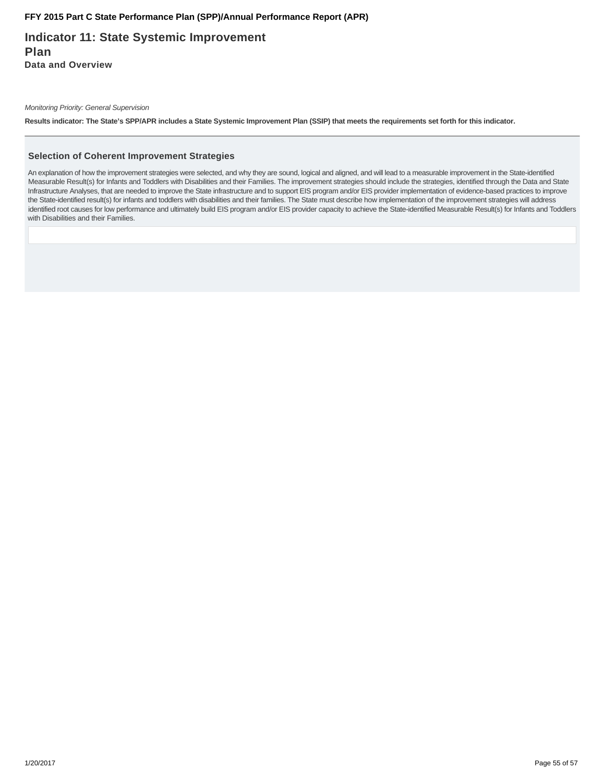**Indicator 11: State Systemic Improvement Plan Data and Overview**

Monitoring Priority: General Supervision

**Results indicator: The State's SPP/APR includes a State Systemic Improvement Plan (SSIP) that meets the requirements set forth for this indicator.**

#### **Selection of Coherent Improvement Strategies**

An explanation of how the improvement strategies were selected, and why they are sound, logical and aligned, and will lead to a measurable improvement in the State-identified Measurable Result(s) for Infants and Toddlers with Disabilities and their Families. The improvement strategies should include the strategies, identified through the Data and State Infrastructure Analyses, that are needed to improve the State infrastructure and to support EIS program and/or EIS provider implementation of evidence-based practices to improve the State-identified result(s) for infants and toddlers with disabilities and their families. The State must describe how implementation of the improvement strategies will address identified root causes for low performance and ultimately build EIS program and/or EIS provider capacity to achieve the State-identified Measurable Result(s) for Infants and Toddlers with Disabilities and their Families.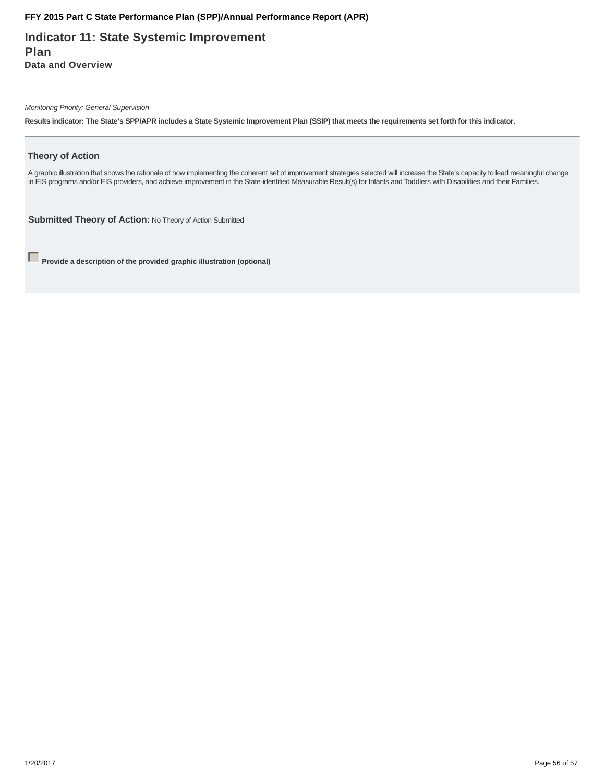**Indicator 11: State Systemic Improvement Plan Data and Overview**

Monitoring Priority: General Supervision

**Results indicator: The State's SPP/APR includes a State Systemic Improvement Plan (SSIP) that meets the requirements set forth for this indicator.**

#### **Theory of Action**

A graphic illustration that shows the rationale of how implementing the coherent set of improvement strategies selected will increase the State's capacity to lead meaningful change in EIS programs and/or EIS providers, and achieve improvement in the State-identified Measurable Result(s) for Infants and Toddlers with Disabilities and their Families.

**Submitted Theory of Action:** No Theory of Action Submitted

**Provide a description of the provided graphic illustration (optional)**